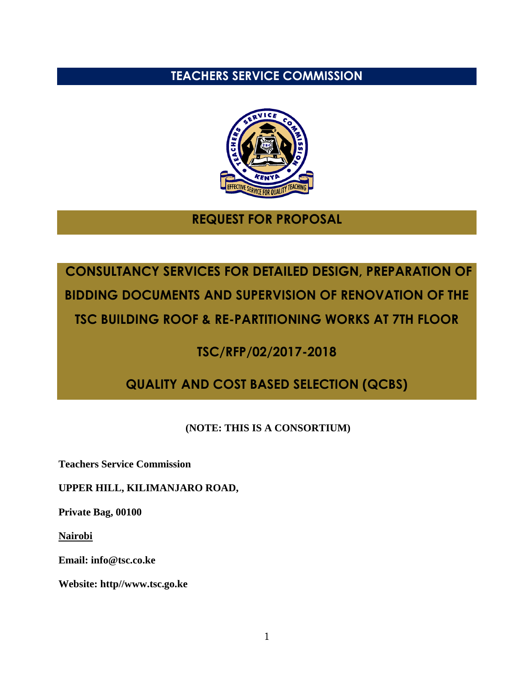# **TEACHERS SERVICE COMMISSION**



# **REQUEST FOR PROPOSAL**

# **CONSULTANCY SERVICES FOR DETAILED DESIGN, PREPARATION OF BIDDING DOCUMENTS AND SUPERVISION OF RENOVATION OF THE TSC BUILDING ROOF & RE-PARTITIONING WORKS AT 7TH FLOOR**

# **TSC/RFP/02/2017-2018**

# **QUALITY AND COST BASED SELECTION (QCBS)**

# **(NOTE: THIS IS A CONSORTIUM)**

**Teachers Service Commission**

#### **UPPER HILL, KILIMANJARO ROAD,**

**Private Bag, 00100**

**Nairobi**

**Email: info@tsc.co.ke**

**Website: http//www.tsc.go.ke**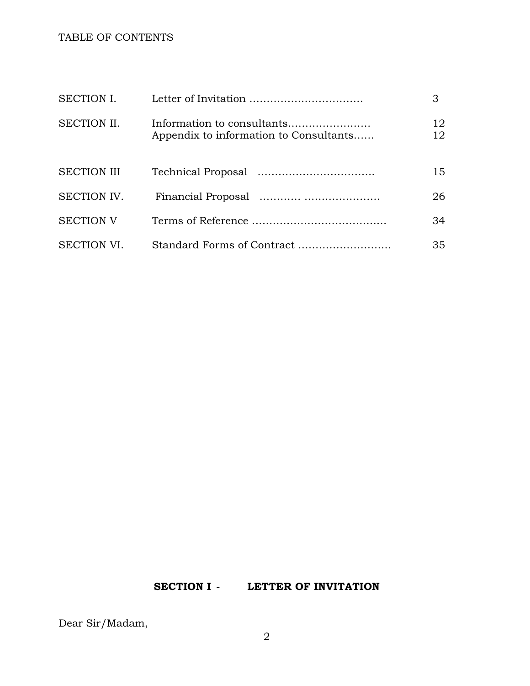#### TABLE OF CONTENTS

| SECTION I.         |                                                                      | 3        |
|--------------------|----------------------------------------------------------------------|----------|
| <b>SECTION II.</b> | Information to consultants<br>Appendix to information to Consultants | 12<br>12 |
| <b>SECTION III</b> |                                                                      | 15       |
| SECTION IV.        |                                                                      | 26       |
| <b>SECTION V</b>   |                                                                      | 34       |
| <b>SECTION VI.</b> | Standard Forms of Contract                                           | 35       |

#### **SECTION I - LETTER OF INVITATION**

Dear Sir/Madam,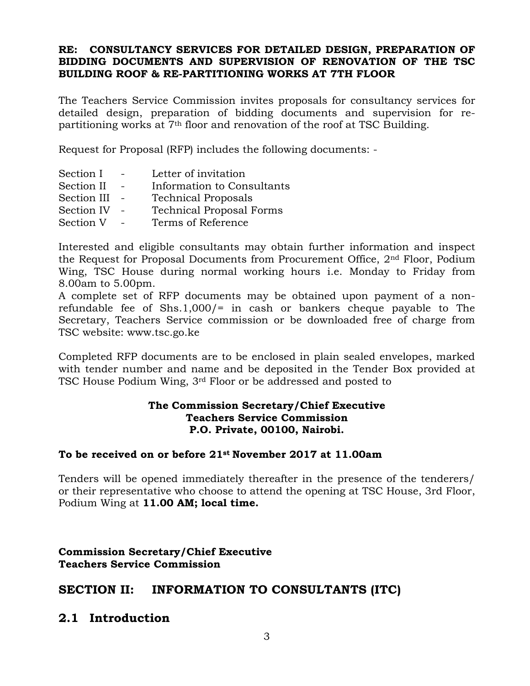#### **RE: CONSULTANCY SERVICES FOR DETAILED DESIGN, PREPARATION OF BIDDING DOCUMENTS AND SUPERVISION OF RENOVATION OF THE TSC BUILDING ROOF & RE-PARTITIONING WORKS AT 7TH FLOOR**

The Teachers Service Commission invites proposals for consultancy services for detailed design, preparation of bidding documents and supervision for repartitioning works at 7th floor and renovation of the roof at TSC Building.

Request for Proposal (RFP) includes the following documents: -

| Section I   | Letter of invitation            |
|-------------|---------------------------------|
| Section II  | Information to Consultants      |
| Section III | <b>Technical Proposals</b>      |
| Section IV  | <b>Technical Proposal Forms</b> |
| Section V   | Terms of Reference              |

Interested and eligible consultants may obtain further information and inspect the Request for Proposal Documents from Procurement Office, 2nd Floor, Podium Wing, TSC House during normal working hours i.e. Monday to Friday from 8.00am to 5.00pm.

A complete set of RFP documents may be obtained upon payment of a nonrefundable fee of Shs.1,000/= in cash or bankers cheque payable to The Secretary, Teachers Service commission or be downloaded free of charge from TSC website: www.tsc.go.ke

Completed RFP documents are to be enclosed in plain sealed envelopes, marked with tender number and name and be deposited in the Tender Box provided at TSC House Podium Wing, 3rd Floor or be addressed and posted to

#### **The Commission Secretary/Chief Executive Teachers Service Commission P.O. Private, 00100, Nairobi.**

#### **To be received on or before 21st November 2017 at 11.00am**

Tenders will be opened immediately thereafter in the presence of the tenderers/ or their representative who choose to attend the opening at TSC House, 3rd Floor, Podium Wing at **11.00 AM; local time.**

#### **Commission Secretary/Chief Executive Teachers Service Commission**

# **SECTION II: INFORMATION TO CONSULTANTS (ITC)**

# **2.1 Introduction**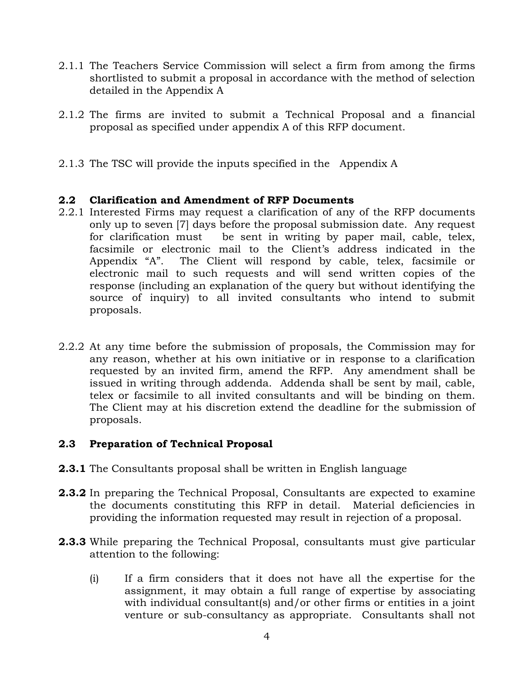- 2.1.1 The Teachers Service Commission will select a firm from among the firms shortlisted to submit a proposal in accordance with the method of selection detailed in the Appendix A
- 2.1.2 The firms are invited to submit a Technical Proposal and a financial proposal as specified under appendix A of this RFP document.
- 2.1.3 The TSC will provide the inputs specified in the Appendix A

#### **2.2 Clarification and Amendment of RFP Documents**

- 2.2.1 Interested Firms may request a clarification of any of the RFP documents only up to seven [7] days before the proposal submission date. Any request for clarification mustbe sent in writing by paper mail, cable, telex, facsimile or electronic mail to the Client's address indicated in the Appendix "A". The Client will respond by cable, telex, facsimile or electronic mail to such requests and will send written copies of the response (including an explanation of the query but without identifying the source of inquiry) to all invited consultants who intend to submit proposals.
- 2.2.2 At any time before the submission of proposals, the Commission may for any reason, whether at his own initiative or in response to a clarification requested by an invited firm, amend the RFP. Any amendment shall be issued in writing through addenda. Addenda shall be sent by mail, cable, telex or facsimile to all invited consultants and will be binding on them. The Client may at his discretion extend the deadline for the submission of proposals.

#### **2.3 Preparation of Technical Proposal**

- **2.3.1** The Consultants proposal shall be written in English language
- **2.3.2** In preparing the Technical Proposal, Consultants are expected to examine the documents constituting this RFP in detail. Material deficiencies in providing the information requested may result in rejection of a proposal.
- **2.3.3** While preparing the Technical Proposal, consultants must give particular attention to the following:
	- (i) If a firm considers that it does not have all the expertise for the assignment, it may obtain a full range of expertise by associating with individual consultant(s) and/or other firms or entities in a joint venture or sub-consultancy as appropriate. Consultants shall not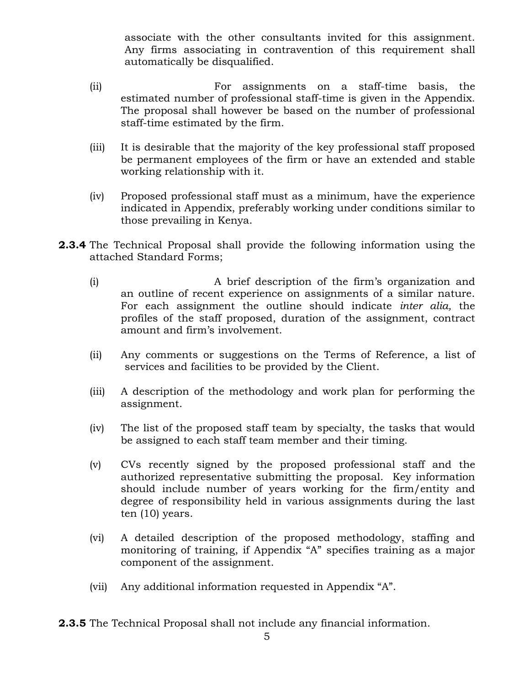associate with the other consultants invited for this assignment. Any firms associating in contravention of this requirement shall automatically be disqualified.

- (ii) For assignments on a staff-time basis, the estimated number of professional staff-time is given in the Appendix. The proposal shall however be based on the number of professional staff-time estimated by the firm.
- (iii) It is desirable that the majority of the key professional staff proposed be permanent employees of the firm or have an extended and stable working relationship with it.
- (iv) Proposed professional staff must as a minimum, have the experience indicated in Appendix, preferably working under conditions similar to those prevailing in Kenya.
- **2.3.4** The Technical Proposal shall provide the following information using the attached Standard Forms;
	- (i) A brief description of the firm's organization and an outline of recent experience on assignments of a similar nature. For each assignment the outline should indicate *inter alia,* the profiles of the staff proposed, duration of the assignment, contract amount and firm's involvement.
	- (ii) Any comments or suggestions on the Terms of Reference, a list of services and facilities to be provided by the Client.
	- (iii) A description of the methodology and work plan for performing the assignment.
	- (iv) The list of the proposed staff team by specialty, the tasks that would be assigned to each staff team member and their timing.
	- (v) CVs recently signed by the proposed professional staff and the authorized representative submitting the proposal. Key information should include number of years working for the firm/entity and degree of responsibility held in various assignments during the last ten (10) years.
	- (vi) A detailed description of the proposed methodology, staffing and monitoring of training, if Appendix "A" specifies training as a major component of the assignment.
	- (vii) Any additional information requested in Appendix "A".

**2.3.5** The Technical Proposal shall not include any financial information.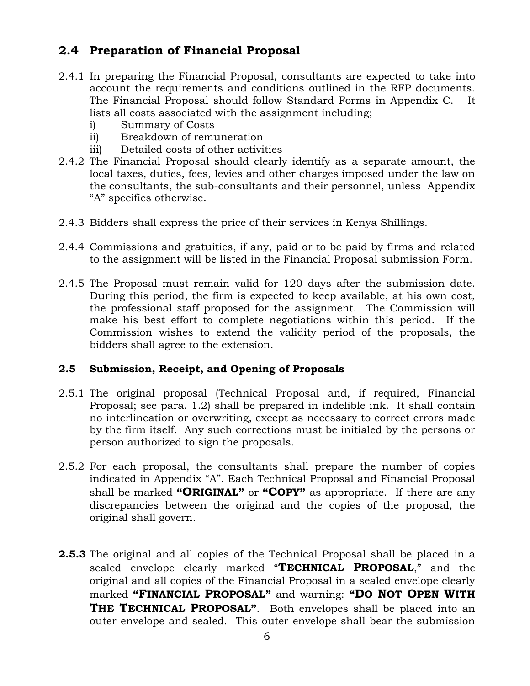# **2.4 Preparation of Financial Proposal**

- 2.4.1 In preparing the Financial Proposal, consultants are expected to take into account the requirements and conditions outlined in the RFP documents. The Financial Proposal should follow Standard Forms in Appendix C. It lists all costs associated with the assignment including;
	- i) Summary of Costs
	- ii) Breakdown of remuneration
	- iii) Detailed costs of other activities
- 2.4.2 The Financial Proposal should clearly identify as a separate amount, the local taxes, duties, fees, levies and other charges imposed under the law on the consultants, the sub-consultants and their personnel, unless Appendix "A" specifies otherwise.
- 2.4.3 Bidders shall express the price of their services in Kenya Shillings.
- 2.4.4 Commissions and gratuities, if any, paid or to be paid by firms and related to the assignment will be listed in the Financial Proposal submission Form.
- 2.4.5 The Proposal must remain valid for 120 days after the submission date. During this period, the firm is expected to keep available, at his own cost, the professional staff proposed for the assignment. The Commission will make his best effort to complete negotiations within this period. If the Commission wishes to extend the validity period of the proposals, the bidders shall agree to the extension.

#### **2.5 Submission, Receipt, and Opening of Proposals**

- 2.5.1 The original proposal (Technical Proposal and, if required, Financial Proposal; see para. 1.2) shall be prepared in indelible ink. It shall contain no interlineation or overwriting, except as necessary to correct errors made by the firm itself. Any such corrections must be initialed by the persons or person authorized to sign the proposals.
- 2.5.2 For each proposal, the consultants shall prepare the number of copies indicated in Appendix "A". Each Technical Proposal and Financial Proposal shall be marked **"ORIGINAL"** or **"COPY"** as appropriate. If there are any discrepancies between the original and the copies of the proposal, the original shall govern.
- **2.5.3** The original and all copies of the Technical Proposal shall be placed in a sealed envelope clearly marked "**TECHNICAL PROPOSAL**," and the original and all copies of the Financial Proposal in a sealed envelope clearly marked **"FINANCIAL PROPOSAL"** and warning: **"DO NOT OPEN WITH THE TECHNICAL PROPOSAL"**. Both envelopes shall be placed into an outer envelope and sealed. This outer envelope shall bear the submission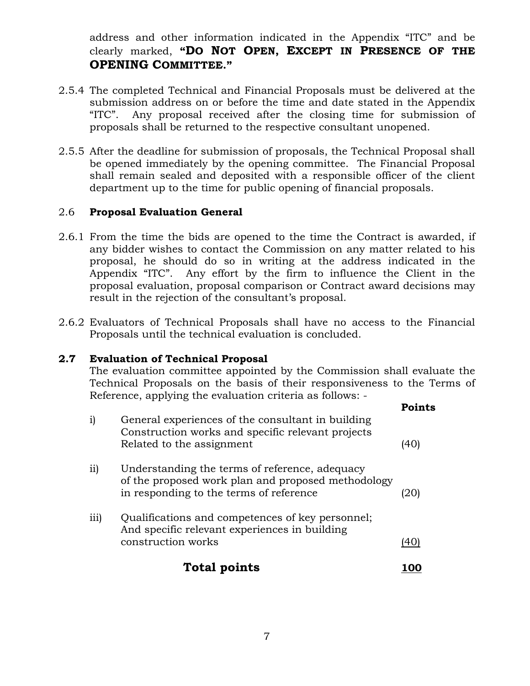address and other information indicated in the Appendix "ITC" and be clearly marked, **"DO NOT OPEN, EXCEPT IN PRESENCE OF THE OPENING COMMITTEE."**

- 2.5.4 The completed Technical and Financial Proposals must be delivered at the submission address on or before the time and date stated in the Appendix "ITC". Any proposal received after the closing time for submission of proposals shall be returned to the respective consultant unopened.
- 2.5.5 After the deadline for submission of proposals, the Technical Proposal shall be opened immediately by the opening committee. The Financial Proposal shall remain sealed and deposited with a responsible officer of the client department up to the time for public opening of financial proposals.

#### 2.6 **Proposal Evaluation General**

- 2.6.1 From the time the bids are opened to the time the Contract is awarded, if any bidder wishes to contact the Commission on any matter related to his proposal, he should do so in writing at the address indicated in the Appendix "ITC". Any effort by the firm to influence the Client in the proposal evaluation, proposal comparison or Contract award decisions may result in the rejection of the consultant's proposal.
- 2.6.2 Evaluators of Technical Proposals shall have no access to the Financial Proposals until the technical evaluation is concluded.

#### **2.7 Evaluation of Technical Proposal**

The evaluation committee appointed by the Commission shall evaluate the Technical Proposals on the basis of their responsiveness to the Terms of Reference, applying the evaluation criteria as follows: -

|      |                                                                                                                                                 | Points |
|------|-------------------------------------------------------------------------------------------------------------------------------------------------|--------|
| i)   | General experiences of the consultant in building<br>Construction works and specific relevant projects<br>Related to the assignment             | 140    |
| ii)  | Understanding the terms of reference, adequacy<br>of the proposed work plan and proposed methodology<br>in responding to the terms of reference | 20     |
| iii) | Qualifications and competences of key personnel;<br>And specific relevant experiences in building<br>construction works                         |        |
|      | Total points                                                                                                                                    |        |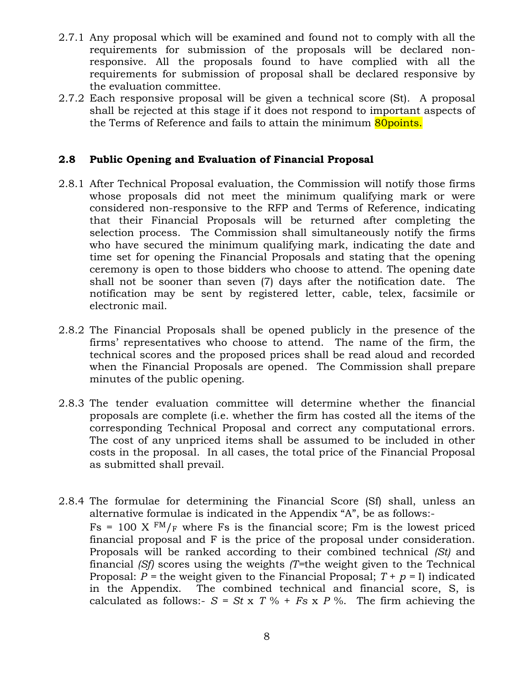- 2.7.1 Any proposal which will be examined and found not to comply with all the requirements for submission of the proposals will be declared nonresponsive. All the proposals found to have complied with all the requirements for submission of proposal shall be declared responsive by the evaluation committee.
- 2.7.2 Each responsive proposal will be given a technical score (St). A proposal shall be rejected at this stage if it does not respond to important aspects of the Terms of Reference and fails to attain the minimum 80 points.

#### **2.8 Public Opening and Evaluation of Financial Proposal**

- 2.8.1 After Technical Proposal evaluation, the Commission will notify those firms whose proposals did not meet the minimum qualifying mark or were considered non-responsive to the RFP and Terms of Reference, indicating that their Financial Proposals will be returned after completing the selection process. The Commission shall simultaneously notify the firms who have secured the minimum qualifying mark, indicating the date and time set for opening the Financial Proposals and stating that the opening ceremony is open to those bidders who choose to attend. The opening date shall not be sooner than seven (7) days after the notification date. The notification may be sent by registered letter, cable, telex, facsimile or electronic mail.
- 2.8.2 The Financial Proposals shall be opened publicly in the presence of the firms' representatives who choose to attend. The name of the firm, the technical scores and the proposed prices shall be read aloud and recorded when the Financial Proposals are opened. The Commission shall prepare minutes of the public opening.
- 2.8.3 The tender evaluation committee will determine whether the financial proposals are complete (i.e. whether the firm has costed all the items of the corresponding Technical Proposal and correct any computational errors. The cost of any unpriced items shall be assumed to be included in other costs in the proposal. In all cases, the total price of the Financial Proposal as submitted shall prevail.
- 2.8.4 The formulae for determining the Financial Score (Sf) shall, unless an alternative formulae is indicated in the Appendix "A", be as follows:-  $Fs = 100 \text{ X } \text{FM}_{F}$  where Fs is the financial score; Fm is the lowest priced financial proposal and F is the price of the proposal under consideration. Proposals will be ranked according to their combined technical *(St)* and financial *(Sf)* scores using the weights *(T=*the weight given to the Technical Proposal:  $P =$  the weight given to the Financial Proposal;  $T + p = I$ ) indicated in the Appendix. The combined technical and financial score, S, is calculated as follows:-  $S = St \times T \% + Fs \times P \%$ . The firm achieving the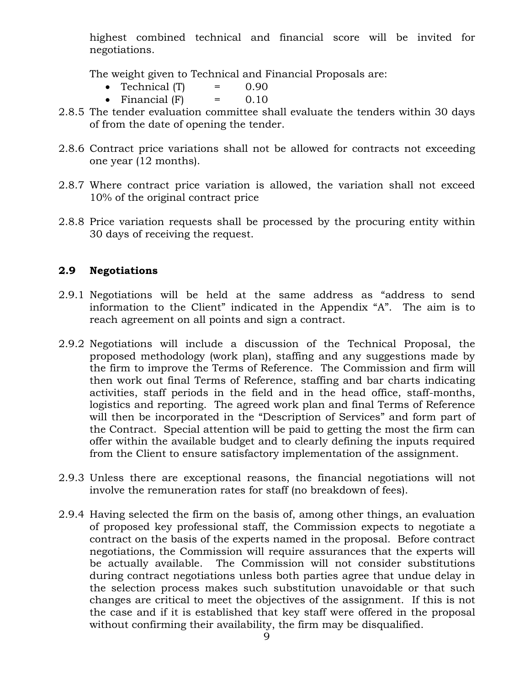highest combined technical and financial score will be invited for negotiations.

The weight given to Technical and Financial Proposals are:

- Technical  $(T)$  = 0.90
- Financial  $(F)$  = 0.10
- 2.8.5 The tender evaluation committee shall evaluate the tenders within 30 days of from the date of opening the tender.
- 2.8.6 Contract price variations shall not be allowed for contracts not exceeding one year (12 months).
- 2.8.7 Where contract price variation is allowed, the variation shall not exceed 10% of the original contract price
- 2.8.8 Price variation requests shall be processed by the procuring entity within 30 days of receiving the request.

#### **2.9 Negotiations**

- 2.9.1 Negotiations will be held at the same address as "address to send information to the Client" indicated in the Appendix "A". The aim is to reach agreement on all points and sign a contract.
- 2.9.2 Negotiations will include a discussion of the Technical Proposal, the proposed methodology (work plan), staffing and any suggestions made by the firm to improve the Terms of Reference. The Commission and firm will then work out final Terms of Reference, staffing and bar charts indicating activities, staff periods in the field and in the head office, staff-months, logistics and reporting. The agreed work plan and final Terms of Reference will then be incorporated in the "Description of Services" and form part of the Contract. Special attention will be paid to getting the most the firm can offer within the available budget and to clearly defining the inputs required from the Client to ensure satisfactory implementation of the assignment.
- 2.9.3 Unless there are exceptional reasons, the financial negotiations will not involve the remuneration rates for staff (no breakdown of fees).
- 2.9.4 Having selected the firm on the basis of, among other things, an evaluation of proposed key professional staff, the Commission expects to negotiate a contract on the basis of the experts named in the proposal. Before contract negotiations, the Commission will require assurances that the experts will be actually available. The Commission will not consider substitutions during contract negotiations unless both parties agree that undue delay in the selection process makes such substitution unavoidable or that such changes are critical to meet the objectives of the assignment. If this is not the case and if it is established that key staff were offered in the proposal without confirming their availability, the firm may be disqualified.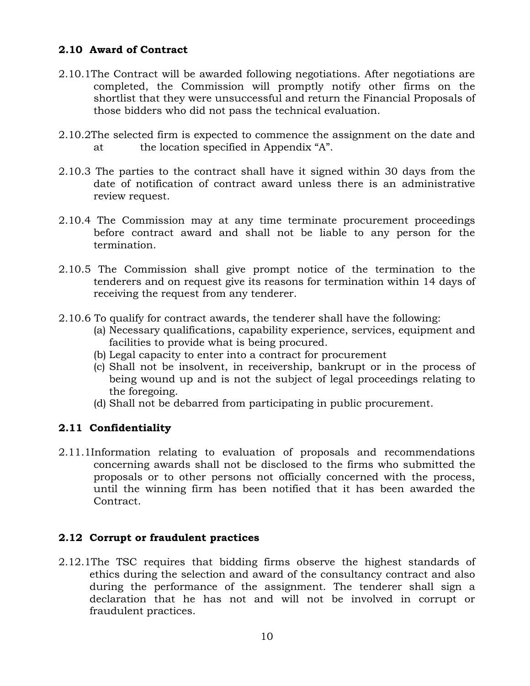### **2.10 Award of Contract**

- 2.10.1The Contract will be awarded following negotiations. After negotiations are completed, the Commission will promptly notify other firms on the shortlist that they were unsuccessful and return the Financial Proposals of those bidders who did not pass the technical evaluation.
- 2.10.2The selected firm is expected to commence the assignment on the date and at the location specified in Appendix "A".
- 2.10.3 The parties to the contract shall have it signed within 30 days from the date of notification of contract award unless there is an administrative review request.
- 2.10.4 The Commission may at any time terminate procurement proceedings before contract award and shall not be liable to any person for the termination.
- 2.10.5 The Commission shall give prompt notice of the termination to the tenderers and on request give its reasons for termination within 14 days of receiving the request from any tenderer.
- 2.10.6 To qualify for contract awards, the tenderer shall have the following:
	- (a) Necessary qualifications, capability experience, services, equipment and facilities to provide what is being procured.
	- (b) Legal capacity to enter into a contract for procurement
	- (c) Shall not be insolvent, in receivership, bankrupt or in the process of being wound up and is not the subject of legal proceedings relating to the foregoing.
	- (d) Shall not be debarred from participating in public procurement.

#### **2.11 Confidentiality**

2.11.1Information relating to evaluation of proposals and recommendations concerning awards shall not be disclosed to the firms who submitted the proposals or to other persons not officially concerned with the process, until the winning firm has been notified that it has been awarded the Contract.

#### **2.12 Corrupt or fraudulent practices**

2.12.1The TSC requires that bidding firms observe the highest standards of ethics during the selection and award of the consultancy contract and also during the performance of the assignment. The tenderer shall sign a declaration that he has not and will not be involved in corrupt or fraudulent practices.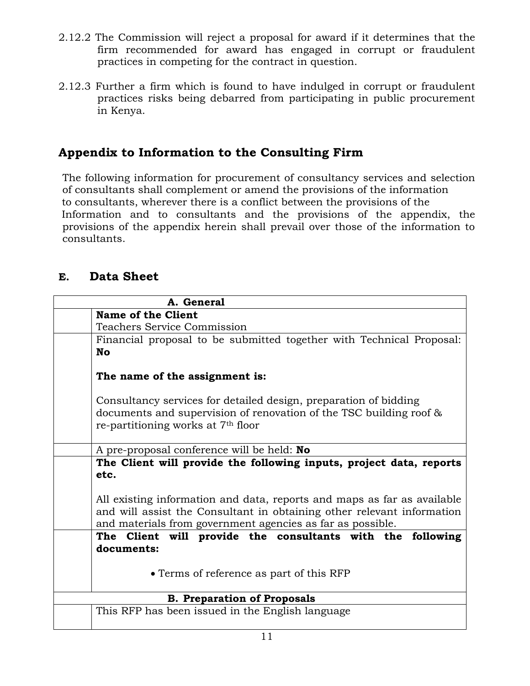- 2.12.2 The Commission will reject a proposal for award if it determines that the firm recommended for award has engaged in corrupt or fraudulent practices in competing for the contract in question.
- 2.12.3 Further a firm which is found to have indulged in corrupt or fraudulent practices risks being debarred from participating in public procurement in Kenya.

# **Appendix to Information to the Consulting Firm**

The following information for procurement of consultancy services and selection of consultants shall complement or amend the provisions of the information to consultants, wherever there is a conflict between the provisions of the Information and to consultants and the provisions of the appendix, the provisions of the appendix herein shall prevail over those of the information to consultants.

# **E. Data Sheet**

| A. General                                                                                                                                                                                                      |
|-----------------------------------------------------------------------------------------------------------------------------------------------------------------------------------------------------------------|
| <b>Name of the Client</b>                                                                                                                                                                                       |
| <b>Teachers Service Commission</b>                                                                                                                                                                              |
| Financial proposal to be submitted together with Technical Proposal:<br><b>No</b>                                                                                                                               |
| The name of the assignment is:                                                                                                                                                                                  |
| Consultancy services for detailed design, preparation of bidding<br>documents and supervision of renovation of the TSC building roof &<br>re-partitioning works at 7 <sup>th</sup> floor                        |
|                                                                                                                                                                                                                 |
| A pre-proposal conference will be held: No                                                                                                                                                                      |
| The Client will provide the following inputs, project data, reports<br>etc.                                                                                                                                     |
| All existing information and data, reports and maps as far as available<br>and will assist the Consultant in obtaining other relevant information<br>and materials from government agencies as far as possible. |
| The Client will provide the consultants with the following                                                                                                                                                      |
| documents:                                                                                                                                                                                                      |
| • Terms of reference as part of this RFP                                                                                                                                                                        |
| <b>B. Preparation of Proposals</b>                                                                                                                                                                              |
| This RFP has been issued in the English language                                                                                                                                                                |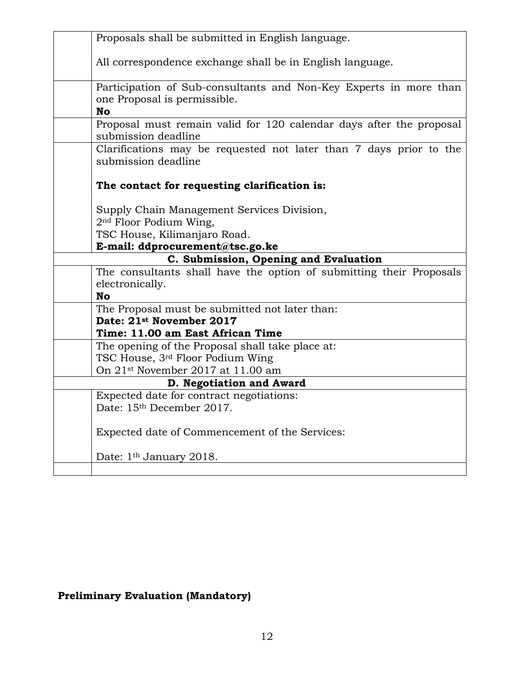| Proposals shall be submitted in English language.                                                 |
|---------------------------------------------------------------------------------------------------|
|                                                                                                   |
| All correspondence exchange shall be in English language.                                         |
| Participation of Sub-consultants and Non-Key Experts in more than<br>one Proposal is permissible. |
| <b>No</b>                                                                                         |
| Proposal must remain valid for 120 calendar days after the proposal<br>submission deadline        |
| Clarifications may be requested not later than 7 days prior to the<br>submission deadline         |
| The contact for requesting clarification is:                                                      |
| Supply Chain Management Services Division,                                                        |
| 2 <sup>nd</sup> Floor Podium Wing,                                                                |
| TSC House, Kilimanjaro Road.                                                                      |
| E-mail: ddprocurement@tsc.go.ke                                                                   |
|                                                                                                   |
| C. Submission, Opening and Evaluation                                                             |
| The consultants shall have the option of submitting their Proposals                               |
| electronically.                                                                                   |
| <b>No</b>                                                                                         |
| The Proposal must be submitted not later than:                                                    |
| Date: 21st November 2017<br>Time: 11.00 am East African Time                                      |
| The opening of the Proposal shall take place at:                                                  |
| TSC House, 3rd Floor Podium Wing                                                                  |
| On 21 <sup>st</sup> November 2017 at 11.00 am                                                     |
| D. Negotiation and Award                                                                          |
| Expected date for contract negotiations:                                                          |
| Date: 15th December 2017.                                                                         |
| Expected date of Commencement of the Services:                                                    |
| Date: 1 <sup>th</sup> January 2018.                                                               |

# **Preliminary Evaluation (Mandatory)**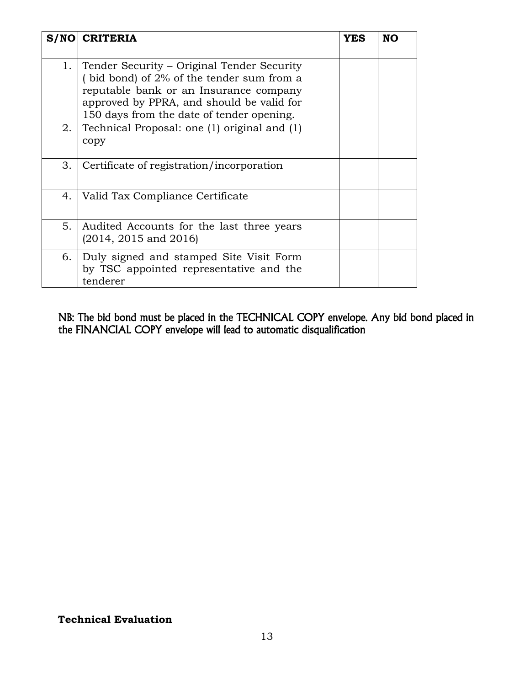| S/NO | <b>CRITERIA</b>                                                                                                                                                                                                                | YES | NO |
|------|--------------------------------------------------------------------------------------------------------------------------------------------------------------------------------------------------------------------------------|-----|----|
| 1.   | Tender Security – Original Tender Security<br>(bid bond) of $2\%$ of the tender sum from a<br>reputable bank or an Insurance company<br>approved by PPRA, and should be valid for<br>150 days from the date of tender opening. |     |    |
| 2.   | Technical Proposal: one (1) original and (1)<br>copy                                                                                                                                                                           |     |    |
| 3.   | Certificate of registration/incorporation                                                                                                                                                                                      |     |    |
| 4.   | Valid Tax Compliance Certificate                                                                                                                                                                                               |     |    |
| 5.   | Audited Accounts for the last three years<br>$(2014, 2015$ and $2016)$                                                                                                                                                         |     |    |
| 6.   | Duly signed and stamped Site Visit Form<br>by TSC appointed representative and the<br>tenderer                                                                                                                                 |     |    |

NB: The bid bond must be placed in the TECHNICAL COPY envelope. Any bid bond placed in the FINANCIAL COPY envelope will lead to automatic disqualification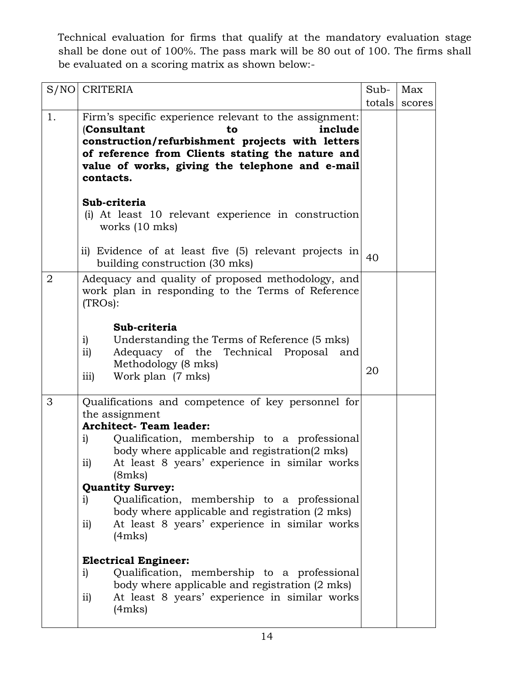Technical evaluation for firms that qualify at the mandatory evaluation stage shall be done out of 100%. The pass mark will be 80 out of 100. The firms shall be evaluated on a scoring matrix as shown below:-

| S/NO           | <b>CRITERIA</b>                                                                                        | Sub-   | Max    |
|----------------|--------------------------------------------------------------------------------------------------------|--------|--------|
|                |                                                                                                        | totals | scores |
| 1.             | Firm's specific experience relevant to the assignment:<br>(Consultant<br>include<br>to                 |        |        |
|                | construction/refurbishment projects with letters                                                       |        |        |
|                | of reference from Clients stating the nature and                                                       |        |        |
|                | value of works, giving the telephone and e-mail<br>contacts.                                           |        |        |
|                | Sub-criteria                                                                                           |        |        |
|                | (i) At least 10 relevant experience in construction<br>works (10 mks)                                  |        |        |
|                | ii) Evidence of at least five (5) relevant projects in<br>building construction (30 mks)               | 40     |        |
| $\overline{2}$ | Adequacy and quality of proposed methodology, and<br>work plan in responding to the Terms of Reference |        |        |
|                | (TROs):                                                                                                |        |        |
|                | Sub-criteria                                                                                           |        |        |
|                | Understanding the Terms of Reference (5 mks)<br>i)                                                     |        |        |
|                | Adequacy of the Technical Proposal and<br>$\mathbf{ii}$                                                |        |        |
|                | Methodology (8 mks)<br>$\overline{111}$<br>Work plan (7 mks)                                           | 20     |        |
| 3              | Qualifications and competence of key personnel for                                                     |        |        |
|                | the assignment<br><b>Architect- Team leader:</b>                                                       |        |        |
|                | Qualification, membership to a professional<br>i)<br>body where applicable and registration(2 mks)     |        |        |
|                | At least 8 years' experience in similar works<br>ii)<br>(8mks)                                         |        |        |
|                | <b>Quantity Survey:</b>                                                                                |        |        |
|                | Qualification, membership to a professional<br>i)<br>body where applicable and registration (2 mks)    |        |        |
|                | At least 8 years' experience in similar works<br>$\overline{11}$<br>(4mks)                             |        |        |
|                | <b>Electrical Engineer:</b>                                                                            |        |        |
|                | Qualification, membership to a professional<br>i)<br>body where applicable and registration (2 mks)    |        |        |
|                | At least 8 years' experience in similar works<br>$\overline{11}$<br>(4mks)                             |        |        |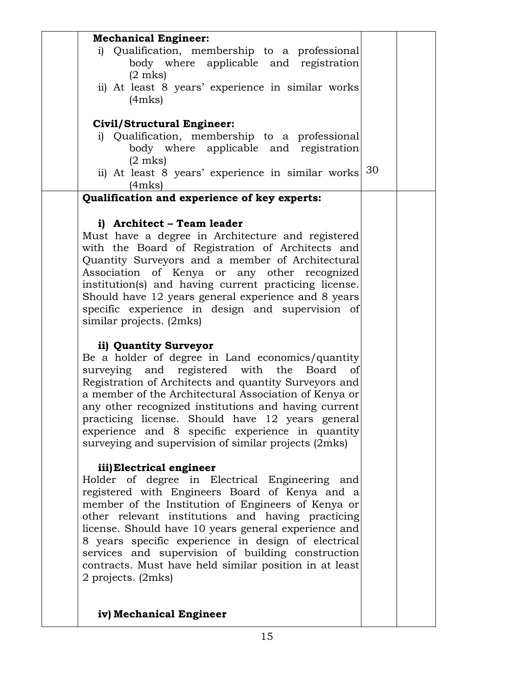| <b>Mechanical Engineer:</b>                                                                               |    |  |
|-----------------------------------------------------------------------------------------------------------|----|--|
| i) Qualification, membership to a professional<br>body where applicable and registration                  |    |  |
| $(2 \text{ mks})$                                                                                         |    |  |
| ii) At least 8 years' experience in similar works<br>(4mks)                                               |    |  |
| <b>Civil/Structural Engineer:</b>                                                                         |    |  |
| i) Qualification, membership to a professional                                                            |    |  |
| body where applicable and registration                                                                    |    |  |
| $(2 \text{ mks})$                                                                                         |    |  |
| ii) At least 8 years' experience in similar works<br>(4mks)                                               | 30 |  |
| Qualification and experience of key experts:                                                              |    |  |
| i) Architect - Team leader                                                                                |    |  |
| Must have a degree in Architecture and registered                                                         |    |  |
| with the Board of Registration of Architects and                                                          |    |  |
| Quantity Surveyors and a member of Architectural                                                          |    |  |
| Association of Kenya or any other recognized                                                              |    |  |
| institution(s) and having current practicing license.                                                     |    |  |
| Should have 12 years general experience and 8 years                                                       |    |  |
| specific experience in design and supervision of                                                          |    |  |
| similar projects. (2mks)                                                                                  |    |  |
| ii) Quantity Surveyor                                                                                     |    |  |
| Be a holder of degree in Land economics/quantity                                                          |    |  |
| surveying and registered with the<br>Board<br>of                                                          |    |  |
| Registration of Architects and quantity Surveyors and                                                     |    |  |
| a member of the Architectural Association of Kenya or                                                     |    |  |
| any other recognized institutions and having current                                                      |    |  |
| practicing license. Should have 12 years general                                                          |    |  |
| experience and 8 specific experience in quantity<br>surveying and supervision of similar projects (2mks)  |    |  |
|                                                                                                           |    |  |
| iii) Electrical engineer                                                                                  |    |  |
| Holder of degree in Electrical Engineering and                                                            |    |  |
| registered with Engineers Board of Kenya and a                                                            |    |  |
| member of the Institution of Engineers of Kenya or                                                        |    |  |
| other relevant institutions and having practicing<br>license. Should have 10 years general experience and |    |  |
| 8 years specific experience in design of electrical                                                       |    |  |
| services and supervision of building construction                                                         |    |  |
| contracts. Must have held similar position in at least                                                    |    |  |
| 2 projects. (2mks)                                                                                        |    |  |
|                                                                                                           |    |  |
| iv) Mechanical Engineer                                                                                   |    |  |
|                                                                                                           |    |  |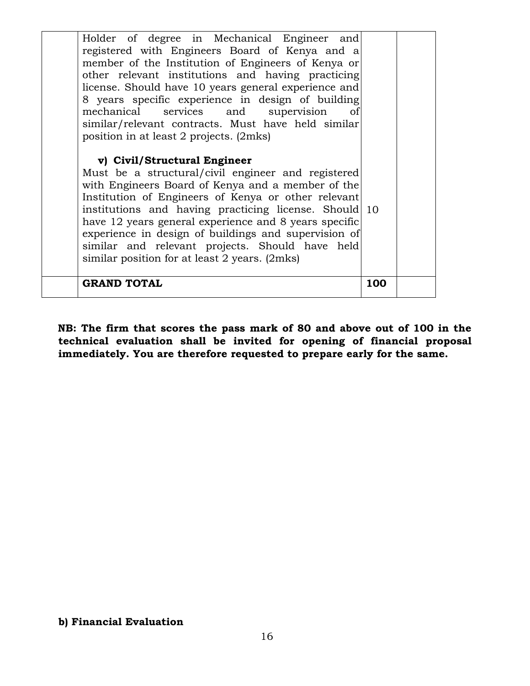| Institution of Engineers of Kenya or other relevant<br>institutions and having practicing license. Should 10<br>have 12 years general experience and 8 years specific<br>experience in design of buildings and supervision of<br>similar and relevant projects. Should have held<br>similar position for at least 2 years. (2mks)<br><b>GRAND TOTAL</b>                       | 100 |  |
|-------------------------------------------------------------------------------------------------------------------------------------------------------------------------------------------------------------------------------------------------------------------------------------------------------------------------------------------------------------------------------|-----|--|
| v) Civil/Structural Engineer<br>Must be a structural/civil engineer and registered<br>with Engineers Board of Kenya and a member of the                                                                                                                                                                                                                                       |     |  |
| member of the Institution of Engineers of Kenya or<br>other relevant institutions and having practicing<br>license. Should have 10 years general experience and<br>8 years specific experience in design of building<br>mechanical services and supervision<br><sub>of</sub><br>similar/relevant contracts. Must have held similar<br>position in at least 2 projects. (2mks) |     |  |
| Holder of degree in Mechanical Engineer and<br>registered with Engineers Board of Kenya and a                                                                                                                                                                                                                                                                                 |     |  |

**NB: The firm that scores the pass mark of 80 and above out of 100 in the technical evaluation shall be invited for opening of financial proposal immediately. You are therefore requested to prepare early for the same.**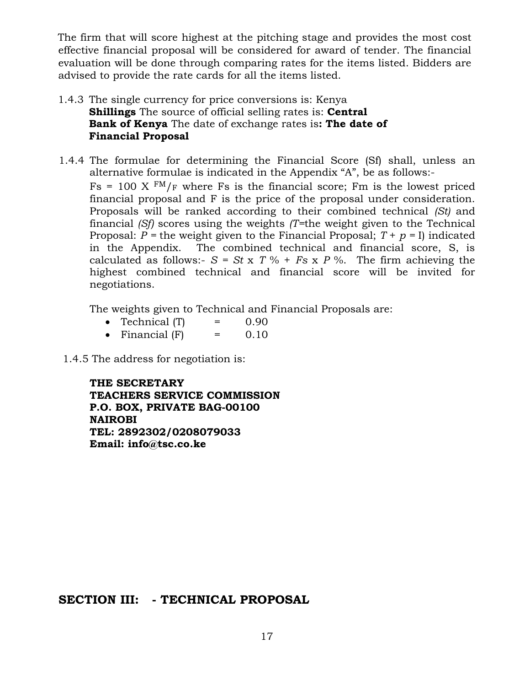The firm that will score highest at the pitching stage and provides the most cost effective financial proposal will be considered for award of tender. The financial evaluation will be done through comparing rates for the items listed. Bidders are advised to provide the rate cards for all the items listed.

- 1.4.3 The single currency for price conversions is: Kenya **Shillings** The source of official selling rates is: **Central Bank of Kenya** The date of exchange rates is**: The date of Financial Proposal**
- 1.4.4 The formulae for determining the Financial Score (Sf) shall, unless an alternative formulae is indicated in the Appendix "A", be as follows:-  $Fs = 100 \text{ X } \text{FM}_{F}$  where Fs is the financial score; Fm is the lowest priced financial proposal and F is the price of the proposal under consideration. Proposals will be ranked according to their combined technical *(St)* and financial *(Sf)* scores using the weights *(T=*the weight given to the Technical Proposal:  $P$  = the weight given to the Financial Proposal;  $T + p = I$ ) indicated in the Appendix. The combined technical and financial score, S, is calculated as follows:-  $S = St \times T \% + Fs \times P \%$ . The firm achieving the highest combined technical and financial score will be invited for negotiations.

The weights given to Technical and Financial Proposals are:

- Technical  $(T)$  = 0.90
- Financial  $(F)$  = 0.10
- 1.4.5 The address for negotiation is:

**THE SECRETARY TEACHERS SERVICE COMMISSION P.O. BOX, PRIVATE BAG-00100 NAIROBI TEL: 2892302/0208079033 Email: info@tsc.co.ke**

**SECTION III: - TECHNICAL PROPOSAL**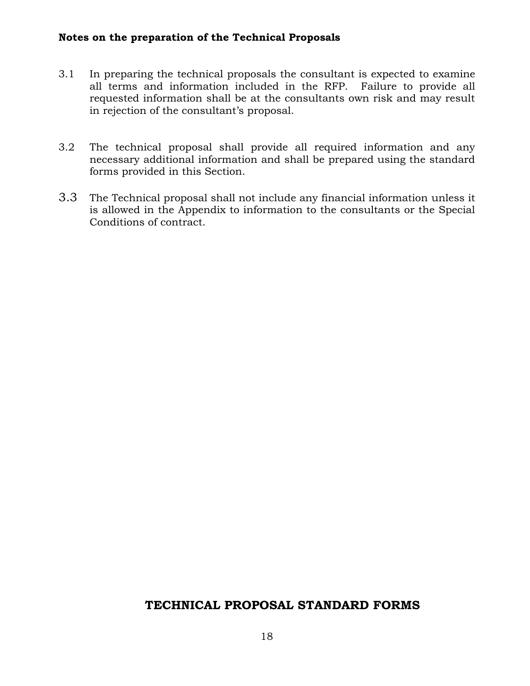#### **Notes on the preparation of the Technical Proposals**

- 3.1 In preparing the technical proposals the consultant is expected to examine all terms and information included in the RFP. Failure to provide all requested information shall be at the consultants own risk and may result in rejection of the consultant's proposal.
- 3.2 The technical proposal shall provide all required information and any necessary additional information and shall be prepared using the standard forms provided in this Section.
- 3.3 The Technical proposal shall not include any financial information unless it is allowed in the Appendix to information to the consultants or the Special Conditions of contract.

# **TECHNICAL PROPOSAL STANDARD FORMS**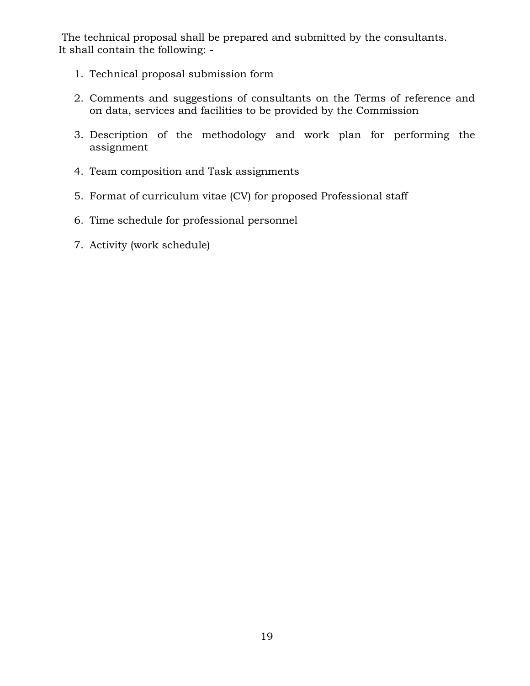The technical proposal shall be prepared and submitted by the consultants. It shall contain the following: -

- 1. Technical proposal submission form
- 2. Comments and suggestions of consultants on the Terms of reference and on data, services and facilities to be provided by the Commission
- 3. Description of the methodology and work plan for performing the assignment
- 4. Team composition and Task assignments
- 5. Format of curriculum vitae (CV) for proposed Professional staff
- 6. Time schedule for professional personnel
- 7. Activity (work schedule)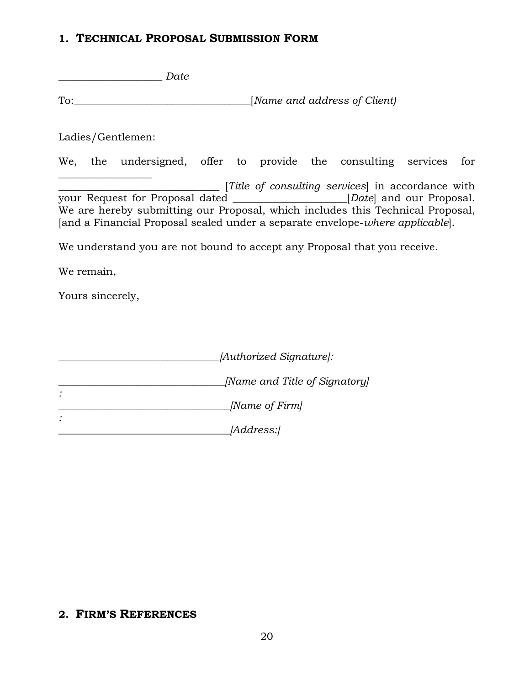#### **1. TECHNICAL PROPOSAL SUBMISSION FORM**

\_\_\_\_\_\_\_\_\_\_\_\_\_\_\_\_\_\_\_\_ *Date* To:\_\_\_\_\_\_\_\_\_\_\_\_\_\_\_\_\_\_\_\_\_\_\_\_\_\_\_\_\_\_\_\_\_\_[*Name and address of Client)* Ladies/Gentlemen: We, the undersigned, offer to provide the consulting services for  $\_$ \_\_\_\_\_\_\_\_\_\_\_\_\_\_\_\_\_\_\_\_\_\_\_\_\_\_\_\_\_\_\_ [*Title of consulting services*] in accordance with your Request for Proposal dated \_\_\_\_\_\_\_\_\_\_\_\_\_\_\_\_\_\_\_\_\_\_[*Date*] and our Proposal. We are hereby submitting our Proposal, which includes this Technical Proposal, [and a Financial Proposal sealed under a separate envelope-*where applicable*]. We understand you are not bound to accept any Proposal that you receive. We remain, Yours sincerely,

| [Authorized Signature]:       |
|-------------------------------|
| [Name and Title of Signatory] |
| [Name of Firm]                |
| <i>[Address:]</i>             |

# **2. FIRM'S REFERENCES**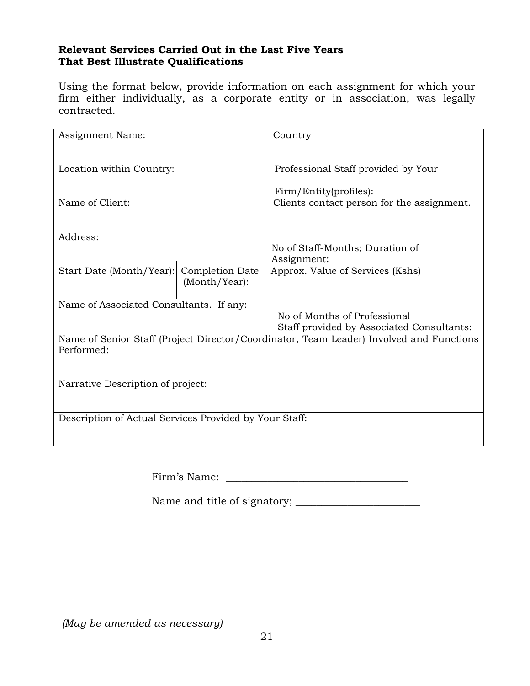#### **Relevant Services Carried Out in the Last Five Years That Best Illustrate Qualifications**

Using the format below, provide information on each assignment for which your firm either individually, as a corporate entity or in association, was legally contracted.

| Assignment Name:                                       |                 | Country                                                                                 |  |  |
|--------------------------------------------------------|-----------------|-----------------------------------------------------------------------------------------|--|--|
|                                                        |                 |                                                                                         |  |  |
| Location within Country:                               |                 | Professional Staff provided by Your                                                     |  |  |
|                                                        |                 |                                                                                         |  |  |
|                                                        |                 | Firm/Entity(profiles):                                                                  |  |  |
| Name of Client:                                        |                 | Clients contact person for the assignment.                                              |  |  |
|                                                        |                 |                                                                                         |  |  |
| Address:                                               |                 |                                                                                         |  |  |
|                                                        |                 | No of Staff-Months; Duration of                                                         |  |  |
|                                                        |                 | Assignment:                                                                             |  |  |
| Start Date (Month/Year):                               | Completion Date | Approx. Value of Services (Kshs)                                                        |  |  |
|                                                        | (Month/Year):   |                                                                                         |  |  |
|                                                        |                 |                                                                                         |  |  |
| Name of Associated Consultants. If any:                |                 |                                                                                         |  |  |
|                                                        |                 | No of Months of Professional                                                            |  |  |
|                                                        |                 | Staff provided by Associated Consultants:                                               |  |  |
|                                                        |                 | Name of Senior Staff (Project Director/Coordinator, Team Leader) Involved and Functions |  |  |
| Performed:                                             |                 |                                                                                         |  |  |
|                                                        |                 |                                                                                         |  |  |
|                                                        |                 |                                                                                         |  |  |
| Narrative Description of project:                      |                 |                                                                                         |  |  |
|                                                        |                 |                                                                                         |  |  |
|                                                        |                 |                                                                                         |  |  |
| Description of Actual Services Provided by Your Staff: |                 |                                                                                         |  |  |
|                                                        |                 |                                                                                         |  |  |
|                                                        |                 |                                                                                         |  |  |

Firm's Name: \_\_\_\_\_\_\_\_\_\_\_\_\_\_\_\_\_\_\_\_\_\_\_\_\_\_\_\_\_\_\_\_\_\_\_

Name and title of signatory; \_\_\_\_\_\_\_\_\_\_\_\_\_\_\_\_\_\_\_\_\_\_\_\_

*(May be amended as necessary)*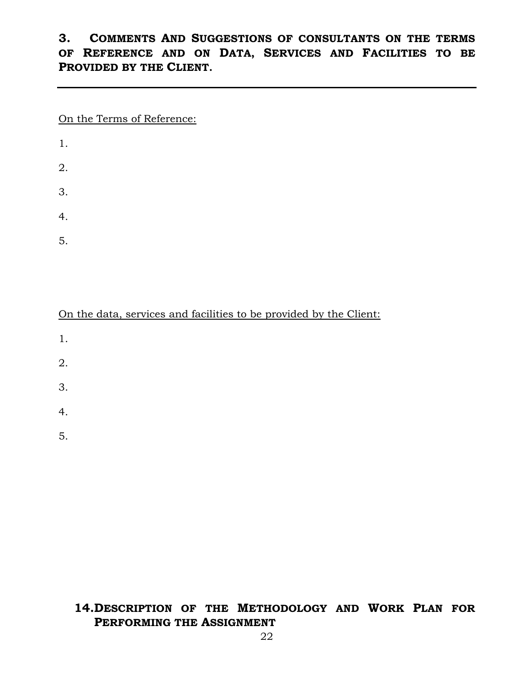# **3. COMMENTS AND SUGGESTIONS OF CONSULTANTS ON THE TERMS OF REFERENCE AND ON DATA, SERVICES AND FACILITIES TO BE PROVIDED BY THE CLIENT.**

On the Terms of Reference:

| 1. |  |  |  |
|----|--|--|--|
| 2. |  |  |  |
| 3. |  |  |  |
| 4. |  |  |  |
| 5. |  |  |  |

On the data, services and facilities to be provided by the Client:

- 1.
- 2.
- 3.
- 
- 4.
- 5.

# **14.DESCRIPTION OF THE METHODOLOGY AND WORK PLAN FOR PERFORMING THE ASSIGNMENT**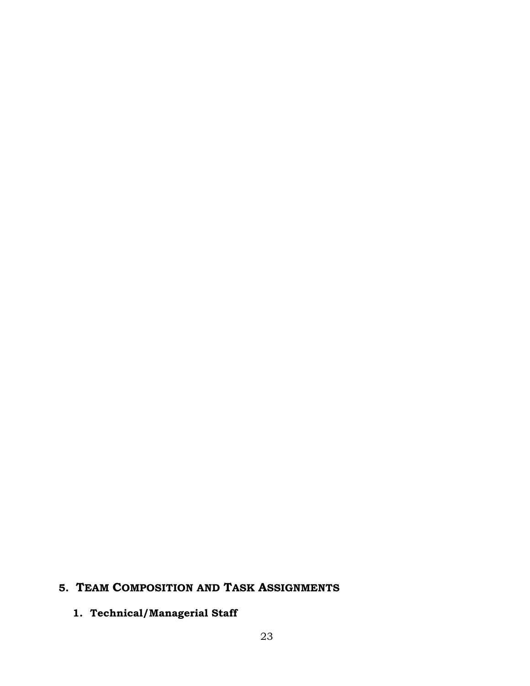# **5. TEAM COMPOSITION AND TASK ASSIGNMENTS**

# **1. Technical/Managerial Staff**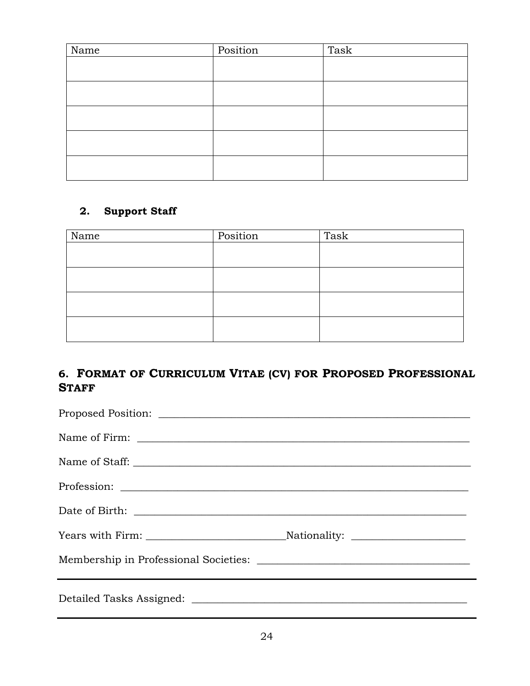| Name | Position | Task |
|------|----------|------|
|      |          |      |
|      |          |      |
|      |          |      |
|      |          |      |
|      |          |      |
|      |          |      |
|      |          |      |
|      |          |      |
|      |          |      |
|      |          |      |

# **2. Support Staff**

| Name | Position | Task |
|------|----------|------|
|      |          |      |
|      |          |      |
|      |          |      |
|      |          |      |
|      |          |      |
|      |          |      |
|      |          |      |
|      |          |      |

# **6. FORMAT OF CURRICULUM VITAE (CV) FOR PROPOSED PROFESSIONAL STAFF**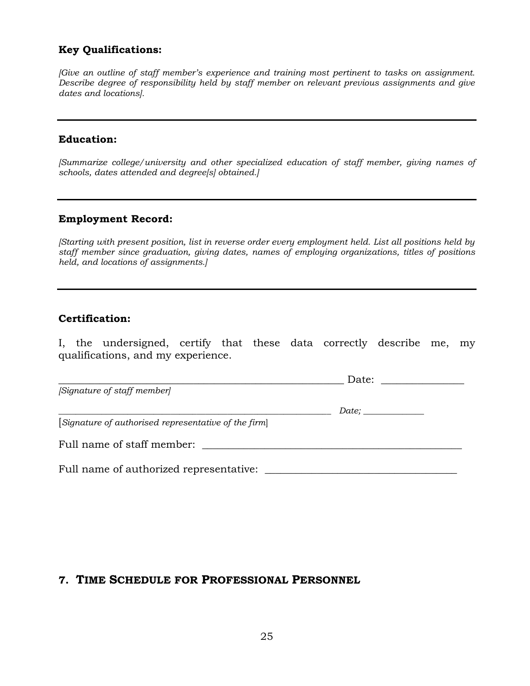#### **Key Qualifications:**

*[Give an outline of staff member's experience and training most pertinent to tasks on assignment. Describe degree of responsibility held by staff member on relevant previous assignments and give dates and locations].*

#### **Education:**

*[Summarize college/university and other specialized education of staff member, giving names of schools, dates attended and degree[s] obtained.]*

#### **Employment Record:**

*[Starting with present position, list in reverse order every employment held. List all positions held by staff member since graduation, giving dates, names of employing organizations, titles of positions held, and locations of assignments.]*

#### **Certification:**

I, the undersigned, certify that these data correctly describe me, my qualifications, and my experience.

| [Signature of staff member]                          |  |
|------------------------------------------------------|--|
|                                                      |  |
| [Signature of authorised representative of the firm] |  |
| Full name of staff member:                           |  |
| Full name of authorized representative:              |  |

#### **7. TIME SCHEDULE FOR PROFESSIONAL PERSONNEL**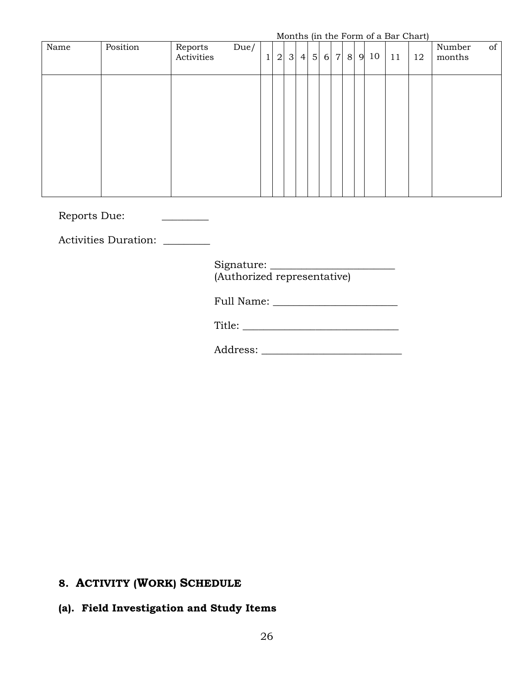Months (in the Form of a Bar Chart)

|      |          |                       |      |   |                |              |   |                |          |                 |   |      | MORRIS (III LIIC PORTII OF a Dar Chart) |    |                  |    |
|------|----------|-----------------------|------|---|----------------|--------------|---|----------------|----------|-----------------|---|------|-----------------------------------------|----|------------------|----|
| Name | Position | Reports<br>Activities | Due/ | 1 | $\overline{2}$ | $\mathbf{3}$ | 4 | 5 <sup>1</sup> | $6 \mid$ | $7\overline{ }$ | 8 | 9 10 | 11                                      | 12 | Number<br>months | of |
|      |          |                       |      |   |                |              |   |                |          |                 |   |      |                                         |    |                  |    |
|      |          |                       |      |   |                |              |   |                |          |                 |   |      |                                         |    |                  |    |
|      |          |                       |      |   |                |              |   |                |          |                 |   |      |                                         |    |                  |    |
|      |          |                       |      |   |                |              |   |                |          |                 |   |      |                                         |    |                  |    |

Reports Due: \_\_\_\_\_\_\_\_\_

Activities Duration: \_\_\_\_\_\_\_\_

Signature: \_\_\_\_\_\_\_\_\_\_\_\_\_\_\_\_\_\_\_\_\_\_\_\_ (Authorized representative)

Full Name: \_\_\_\_\_\_\_\_\_\_\_\_\_\_\_\_\_\_\_\_\_\_\_\_

Title: \_\_\_\_\_\_\_\_\_\_\_\_\_\_\_\_\_\_\_\_\_\_\_\_\_\_\_\_\_\_

Address: \_\_\_\_\_\_\_\_\_\_\_\_\_\_\_\_\_\_\_\_\_\_\_\_\_\_\_

# **8. ACTIVITY (WORK) SCHEDULE**

## **(a). Field Investigation and Study Items**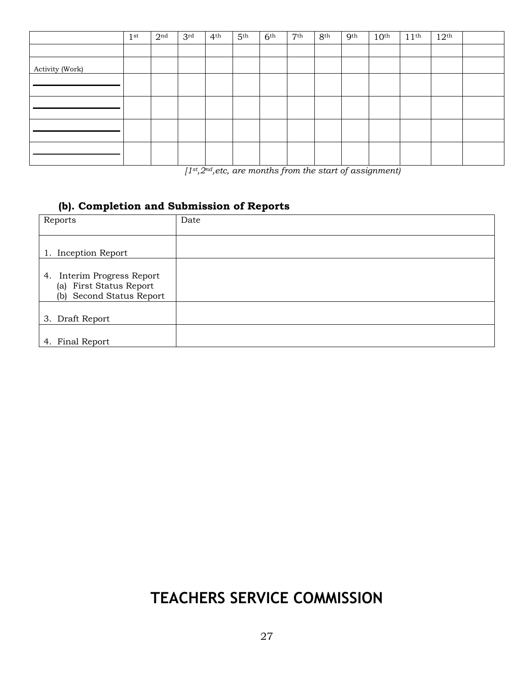|                 | 1 <sup>st</sup> | 2 <sup>nd</sup> | 3 <sup>rd</sup> | 4 <sup>th</sup> | 5 <sup>th</sup> | 6 <sup>th</sup> | 7 <sup>th</sup> | 8 <sup>th</sup> | 9 <sup>th</sup> | $10^{\text{th}}$ | 11 <sup>th</sup> | $12^{\text{th}}$ |  |
|-----------------|-----------------|-----------------|-----------------|-----------------|-----------------|-----------------|-----------------|-----------------|-----------------|------------------|------------------|------------------|--|
|                 |                 |                 |                 |                 |                 |                 |                 |                 |                 |                  |                  |                  |  |
| Activity (Work) |                 |                 |                 |                 |                 |                 |                 |                 |                 |                  |                  |                  |  |
|                 |                 |                 |                 |                 |                 |                 |                 |                 |                 |                  |                  |                  |  |
|                 |                 |                 |                 |                 |                 |                 |                 |                 |                 |                  |                  |                  |  |
|                 |                 |                 |                 |                 |                 |                 |                 |                 |                 |                  |                  |                  |  |
|                 |                 |                 |                 |                 |                 |                 |                 |                 |                 |                  |                  |                  |  |
|                 |                 |                 |                 |                 |                 |                 |                 |                 |                 |                  |                  |                  |  |

*[1st,2nd,etc, are months from the start of assignment)*

### **(b). Completion and Submission of Reports**

| Reports                                                                              | Date |
|--------------------------------------------------------------------------------------|------|
| 1. Inception Report                                                                  |      |
| 4.<br>Interim Progress Report<br>(a) First Status Report<br>(b) Second Status Report |      |
| 3. Draft Report                                                                      |      |
| 4. Final Report                                                                      |      |

# **TEACHERS SERVICE COMMISSION**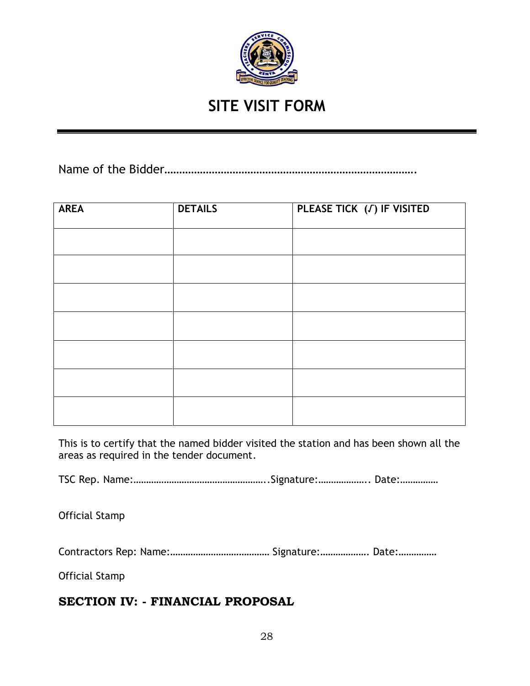

# **SITE VISIT FORM**

Name of the Bidder………………………………………………………………………….

| <b>AREA</b> | <b>DETAILS</b> | PLEASE TICK (J) IF VISITED |
|-------------|----------------|----------------------------|
|             |                |                            |
|             |                |                            |
|             |                |                            |
|             |                |                            |
|             |                |                            |
|             |                |                            |
|             |                |                            |

This is to certify that the named bidder visited the station and has been shown all the areas as required in the tender document.

TSC Rep. Name:……………………………………………..Signature:……………….. Date:……………

Official Stamp

Contractors Rep: Name:………………………………… Signature:………………. Date:……………

Official Stamp

# **SECTION IV: - FINANCIAL PROPOSAL**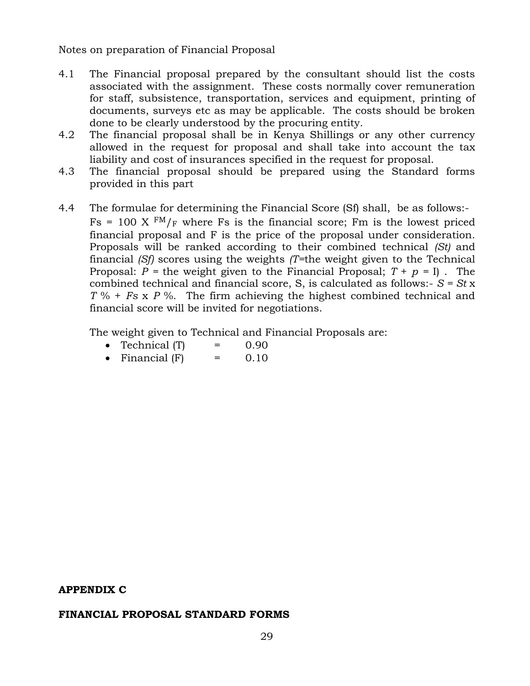Notes on preparation of Financial Proposal

- 4.1 The Financial proposal prepared by the consultant should list the costs associated with the assignment. These costs normally cover remuneration for staff, subsistence, transportation, services and equipment, printing of documents, surveys etc as may be applicable. The costs should be broken done to be clearly understood by the procuring entity.
- 4.2 The financial proposal shall be in Kenya Shillings or any other currency allowed in the request for proposal and shall take into account the tax liability and cost of insurances specified in the request for proposal.
- 4.3 The financial proposal should be prepared using the Standard forms provided in this part
- 4.4 The formulae for determining the Financial Score (Sf) shall, be as follows:-  $Fs = 100 \text{ X } \text{FM}_{F}$  where Fs is the financial score; Fm is the lowest priced financial proposal and F is the price of the proposal under consideration. Proposals will be ranked according to their combined technical *(St)* and financial *(Sf)* scores using the weights *(T=*the weight given to the Technical Proposal:  $P =$  the weight given to the Financial Proposal;  $T + p = I$ . The combined technical and financial score, S, is calculated as follows:- *S = St* x *T* % + *Fs* x *P* %. The firm achieving the highest combined technical and financial score will be invited for negotiations.

The weight given to Technical and Financial Proposals are:

- Technical  $(T)$  = 0.90
- Financial  $(F)$  = 0.10

#### **APPENDIX C**

#### **FINANCIAL PROPOSAL STANDARD FORMS**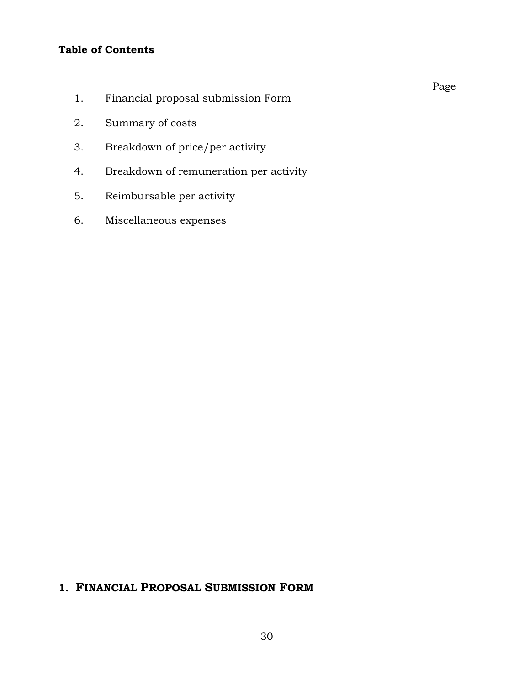# **Table of Contents**

- 1. Financial proposal submission Form
- 2. Summary of costs
- 3. Breakdown of price/per activity
- 4. Breakdown of remuneration per activity
- 5. Reimbursable per activity
- 6. Miscellaneous expenses

# **1. FINANCIAL PROPOSAL SUBMISSION FORM**

Page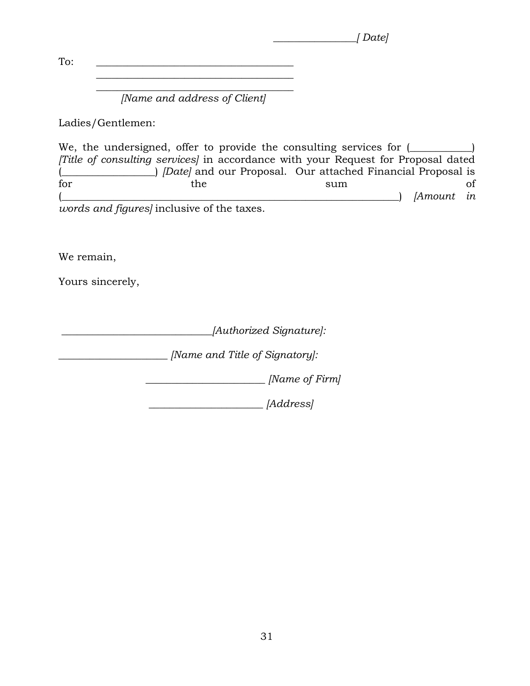*\_\_\_\_\_\_\_\_\_\_\_\_\_\_\_\_[ Date]*

To: \_\_\_\_\_\_\_\_\_\_\_\_\_\_\_\_\_\_\_\_\_\_\_\_\_\_\_\_\_\_\_\_\_\_\_\_\_\_  $\overline{\phantom{a}}$  , which is a set of the set of the set of the set of the set of the set of the set of the set of the set of the set of the set of the set of the set of the set of the set of the set of the set of the set of th

> $\overline{\phantom{a}}$  , which is a set of the set of the set of the set of the set of the set of the set of the set of the set of the set of the set of the set of the set of the set of the set of the set of the set of the set of th *[Name and address of Client]*

Ladies/Gentlemen:

We, the undersigned, offer to provide the consulting services for  $($ *[Title of consulting services]* in accordance with your Request for Proposal dated (\_\_\_\_\_\_\_\_\_\_\_\_\_\_\_\_\_\_) *[Date]* and our Proposal. Our attached Financial Proposal is for the sum of (\_\_\_\_\_\_\_\_\_\_\_\_\_\_\_\_\_\_\_\_\_\_\_\_\_\_\_\_\_\_\_\_\_\_\_\_\_\_\_\_\_\_\_\_\_\_\_\_\_\_\_\_\_\_\_\_\_\_\_\_\_\_\_\_\_) *[Amount in words and figures]* inclusive of the taxes.

We remain,

Yours sincerely,

*\_\_\_\_\_\_\_\_\_\_\_\_\_\_\_\_\_\_\_\_\_\_\_\_\_\_\_\_\_[Authorized Signature]:*

*\_\_\_\_\_\_\_\_\_\_\_\_\_\_\_\_\_\_\_\_\_ [Name and Title of Signatory]:*

 *\_\_\_\_\_\_\_\_\_\_\_\_\_\_\_\_\_\_\_\_\_\_\_ [Name of Firm]*

 *\_\_\_\_\_\_\_\_\_\_\_\_\_\_\_\_\_\_\_\_\_\_ [Address]*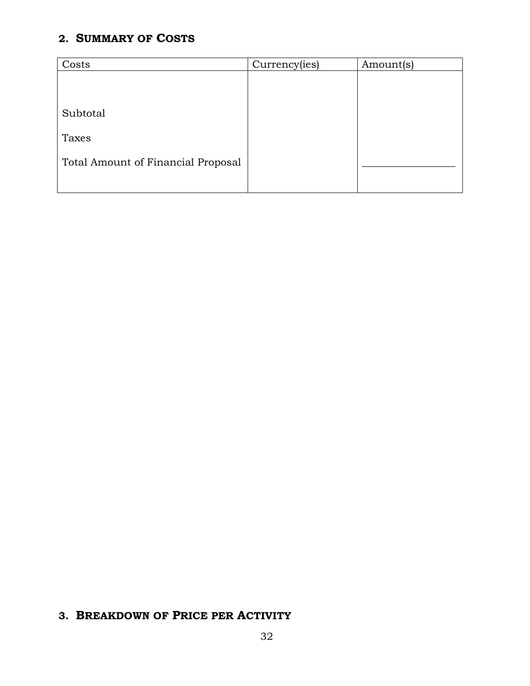# **2. SUMMARY OF COSTS**

| Costs                              | Currency(ies) | Amount(s) |
|------------------------------------|---------------|-----------|
|                                    |               |           |
|                                    |               |           |
| Subtotal                           |               |           |
| Taxes                              |               |           |
| Total Amount of Financial Proposal |               |           |
|                                    |               |           |

# **3. BREAKDOWN OF PRICE PER ACTIVITY**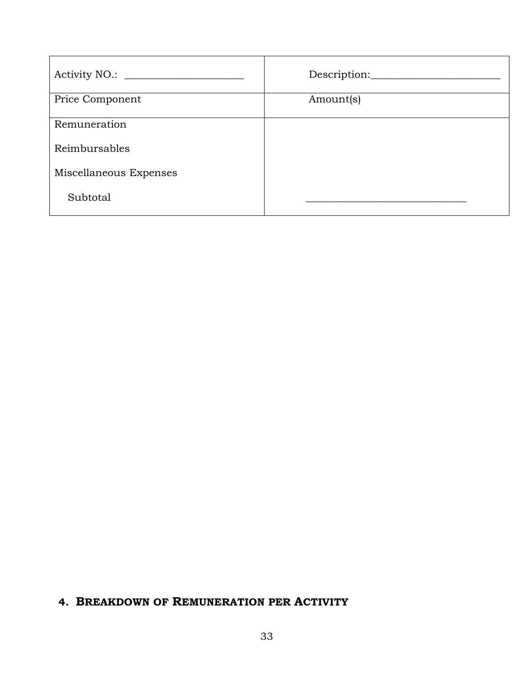|                        | Description: |
|------------------------|--------------|
| Price Component        | Amount(s)    |
| Remuneration           |              |
| Reimbursables          |              |
| Miscellaneous Expenses |              |
| Subtotal               |              |

# **4. BREAKDOWN OF REMUNERATION PER ACTIVITY**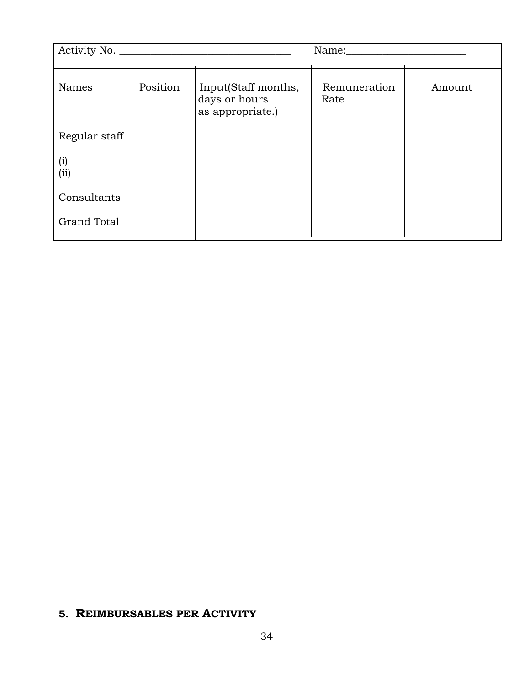| Activity No.  |          |                                                          | Name:                |        |  |  |  |  |
|---------------|----------|----------------------------------------------------------|----------------------|--------|--|--|--|--|
| <b>Names</b>  | Position | Input(Staff months,<br>days or hours<br>as appropriate.) | Remuneration<br>Rate | Amount |  |  |  |  |
| Regular staff |          |                                                          |                      |        |  |  |  |  |
| (i)<br>(ii)   |          |                                                          |                      |        |  |  |  |  |
| Consultants   |          |                                                          |                      |        |  |  |  |  |
| Grand Total   |          |                                                          |                      |        |  |  |  |  |

# **5. REIMBURSABLES PER ACTIVITY**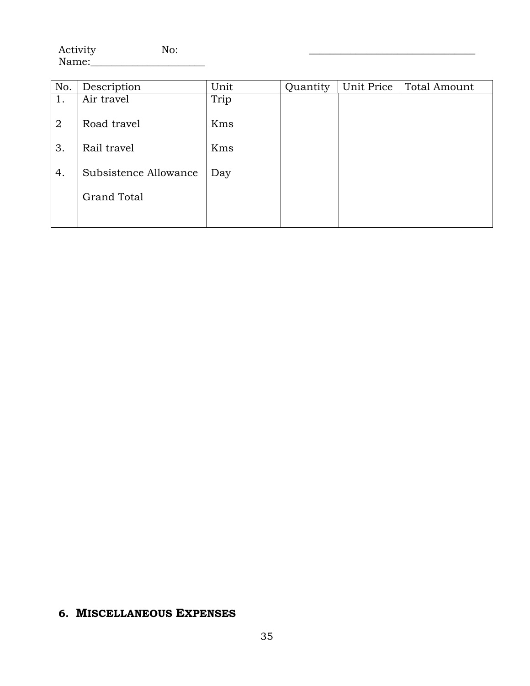Activity No: Name:\_\_\_\_\_\_\_\_\_\_\_\_\_\_\_\_\_\_\_\_\_\_

| No. | Description           | Unit | Quantity | Unit Price | <b>Total Amount</b> |
|-----|-----------------------|------|----------|------------|---------------------|
| 1.  | Air travel            | Trip |          |            |                     |
| 2   | Road travel           | Kms  |          |            |                     |
| 3.  | Rail travel           | Kms  |          |            |                     |
| 4.  | Subsistence Allowance | Day  |          |            |                     |
|     | <b>Grand Total</b>    |      |          |            |                     |
|     |                       |      |          |            |                     |

# **6. MISCELLANEOUS EXPENSES**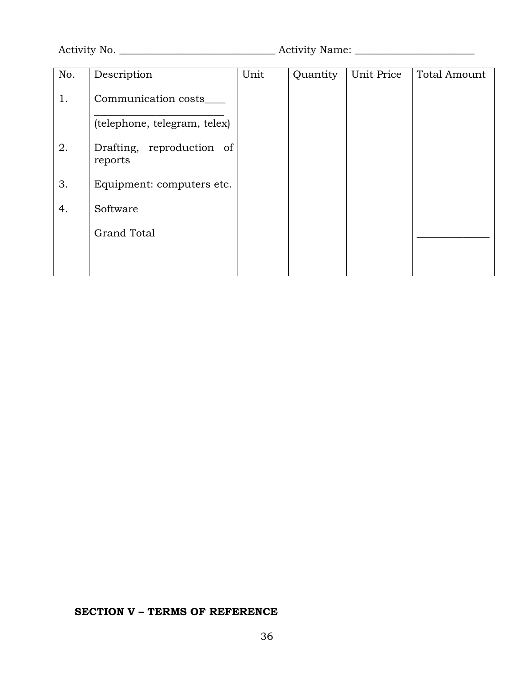Activity No. \_\_\_\_\_\_\_\_\_\_\_\_\_\_\_\_\_\_\_\_\_\_\_\_\_\_\_\_\_\_ Activity Name: \_\_\_\_\_\_\_\_\_\_\_\_\_\_\_\_\_\_\_\_\_\_\_

| No. | Description                          | Unit | Quantity | Unit Price | <b>Total Amount</b> |
|-----|--------------------------------------|------|----------|------------|---------------------|
| 1.  | Communication costs                  |      |          |            |                     |
|     | (telephone, telegram, telex)         |      |          |            |                     |
| 2.  | Drafting, reproduction of<br>reports |      |          |            |                     |
| 3.  | Equipment: computers etc.            |      |          |            |                     |
| 4.  | Software                             |      |          |            |                     |
|     | <b>Grand Total</b>                   |      |          |            |                     |
|     |                                      |      |          |            |                     |

### **SECTION V – TERMS OF REFERENCE**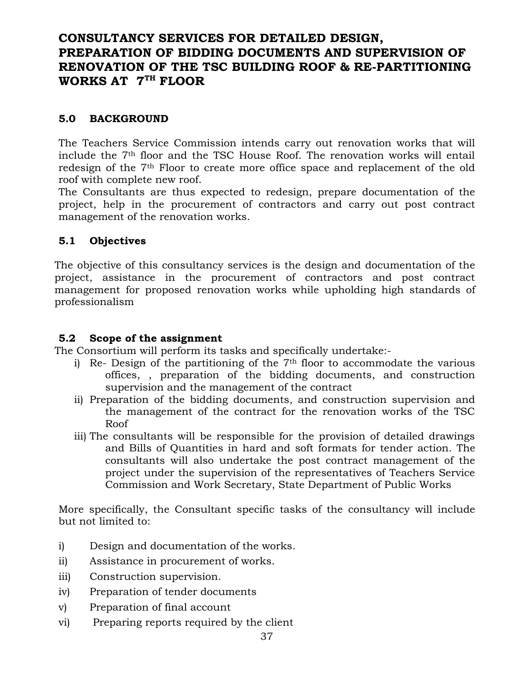# **CONSULTANCY SERVICES FOR DETAILED DESIGN, PREPARATION OF BIDDING DOCUMENTS AND SUPERVISION OF RENOVATION OF THE TSC BUILDING ROOF & RE-PARTITIONING WORKS AT 7TH FLOOR**

#### **5.0 BACKGROUND**

The Teachers Service Commission intends carry out renovation works that will include the 7th floor and the TSC House Roof. The renovation works will entail redesign of the 7th Floor to create more office space and replacement of the old roof with complete new roof.

The Consultants are thus expected to redesign, prepare documentation of the project, help in the procurement of contractors and carry out post contract management of the renovation works.

#### **5.1 Objectives**

The objective of this consultancy services is the design and documentation of the project, assistance in the procurement of contractors and post contract management for proposed renovation works while upholding high standards of professionalism

### **5.2 Scope of the assignment**

The Consortium will perform its tasks and specifically undertake:-

- i) Re- Design of the partitioning of the  $7<sup>th</sup>$  floor to accommodate the various offices, , preparation of the bidding documents, and construction supervision and the management of the contract
- ii) Preparation of the bidding documents, and construction supervision and the management of the contract for the renovation works of the TSC Roof
- iii) The consultants will be responsible for the provision of detailed drawings and Bills of Quantities in hard and soft formats for tender action. The consultants will also undertake the post contract management of the project under the supervision of the representatives of Teachers Service Commission and Work Secretary, State Department of Public Works

More specifically, the Consultant specific tasks of the consultancy will include but not limited to:

- i) Design and documentation of the works.
- ii) Assistance in procurement of works.
- iii) Construction supervision.
- iv) Preparation of tender documents
- v) Preparation of final account
- vi) Preparing reports required by the client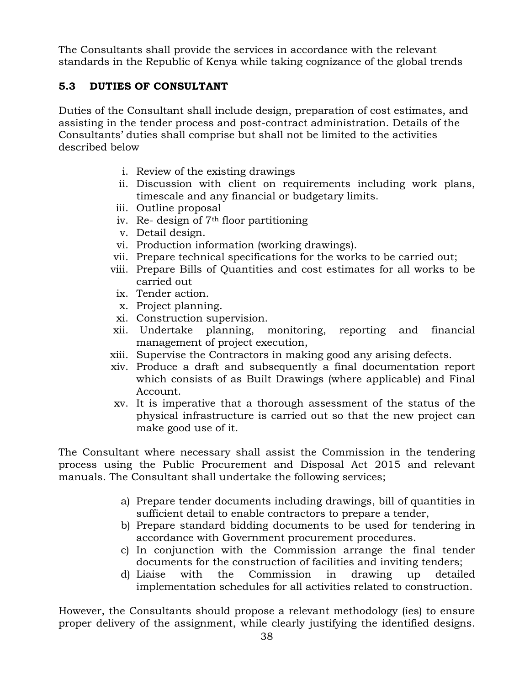The Consultants shall provide the services in accordance with the relevant standards in the Republic of Kenya while taking cognizance of the global trends

## **5.3 DUTIES OF CONSULTANT**

Duties of the Consultant shall include design, preparation of cost estimates, and assisting in the tender process and post-contract administration. Details of the Consultants' duties shall comprise but shall not be limited to the activities described below

- i. Review of the existing drawings
- ii. Discussion with client on requirements including work plans, timescale and any financial or budgetary limits.
- iii. Outline proposal
- iv. Re- design of 7th floor partitioning
- v. Detail design.
- vi. Production information (working drawings).
- vii. Prepare technical specifications for the works to be carried out;
- viii. Prepare Bills of Quantities and cost estimates for all works to be carried out
- ix. Tender action.
- x. Project planning.
- xi. Construction supervision.
- xii. Undertake planning, monitoring, reporting and financial management of project execution,
- xiii. Supervise the Contractors in making good any arising defects.
- xiv. Produce a draft and subsequently a final documentation report which consists of as Built Drawings (where applicable) and Final Account.
- xv. It is imperative that a thorough assessment of the status of the physical infrastructure is carried out so that the new project can make good use of it.

The Consultant where necessary shall assist the Commission in the tendering process using the Public Procurement and Disposal Act 2015 and relevant manuals. The Consultant shall undertake the following services;

- a) Prepare tender documents including drawings, bill of quantities in sufficient detail to enable contractors to prepare a tender,
- b) Prepare standard bidding documents to be used for tendering in accordance with Government procurement procedures.
- c) In conjunction with the Commission arrange the final tender documents for the construction of facilities and inviting tenders;
- d) Liaise with the Commission in drawing up detailed implementation schedules for all activities related to construction.

However, the Consultants should propose a relevant methodology (ies) to ensure proper delivery of the assignment, while clearly justifying the identified designs.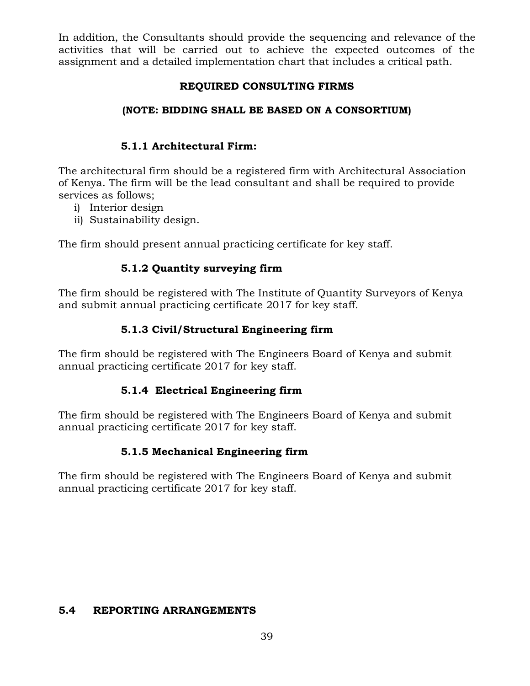In addition, the Consultants should provide the sequencing and relevance of the activities that will be carried out to achieve the expected outcomes of the assignment and a detailed implementation chart that includes a critical path.

#### **REQUIRED CONSULTING FIRMS**

#### **(NOTE: BIDDING SHALL BE BASED ON A CONSORTIUM)**

#### **5.1.1 Architectural Firm:**

The architectural firm should be a registered firm with Architectural Association of Kenya. The firm will be the lead consultant and shall be required to provide services as follows;

- i) Interior design
- ii) Sustainability design.

The firm should present annual practicing certificate for key staff.

#### **5.1.2 Quantity surveying firm**

The firm should be registered with The Institute of Quantity Surveyors of Kenya and submit annual practicing certificate 2017 for key staff.

#### **5.1.3 Civil/Structural Engineering firm**

The firm should be registered with The Engineers Board of Kenya and submit annual practicing certificate 2017 for key staff.

#### **5.1.4 Electrical Engineering firm**

The firm should be registered with The Engineers Board of Kenya and submit annual practicing certificate 2017 for key staff.

#### **5.1.5 Mechanical Engineering firm**

The firm should be registered with The Engineers Board of Kenya and submit annual practicing certificate 2017 for key staff.

#### **5.4 REPORTING ARRANGEMENTS**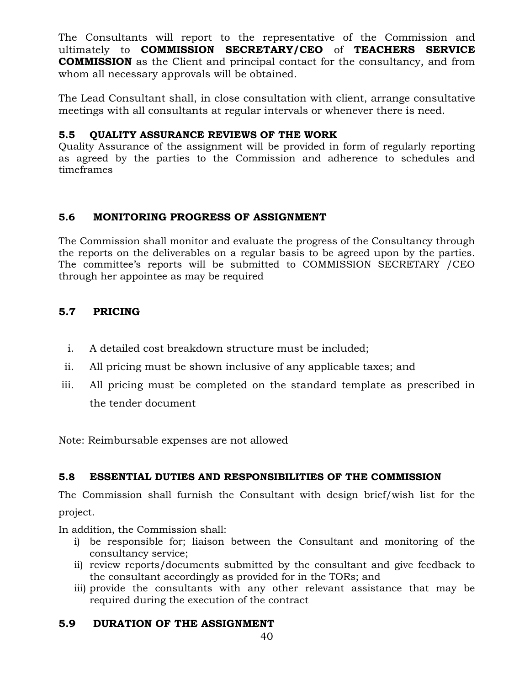The Consultants will report to the representative of the Commission and ultimately to **COMMISSION SECRETARY/CEO** of **TEACHERS SERVICE COMMISSION** as the Client and principal contact for the consultancy, and from whom all necessary approvals will be obtained.

The Lead Consultant shall, in close consultation with client, arrange consultative meetings with all consultants at regular intervals or whenever there is need.

#### **5.5 QUALITY ASSURANCE REVIEWS OF THE WORK**

Quality Assurance of the assignment will be provided in form of regularly reporting as agreed by the parties to the Commission and adherence to schedules and timeframes

#### **5.6 MONITORING PROGRESS OF ASSIGNMENT**

The Commission shall monitor and evaluate the progress of the Consultancy through the reports on the deliverables on a regular basis to be agreed upon by the parties. The committee's reports will be submitted to COMMISSION SECRETARY /CEO through her appointee as may be required

#### **5.7 PRICING**

- i. A detailed cost breakdown structure must be included;
- ii. All pricing must be shown inclusive of any applicable taxes; and
- iii. All pricing must be completed on the standard template as prescribed in the tender document

Note: Reimbursable expenses are not allowed

#### **5.8 ESSENTIAL DUTIES AND RESPONSIBILITIES OF THE COMMISSION**

The Commission shall furnish the Consultant with design brief/wish list for the project.

In addition, the Commission shall:

- i) be responsible for; liaison between the Consultant and monitoring of the consultancy service;
- ii) review reports/documents submitted by the consultant and give feedback to the consultant accordingly as provided for in the TORs; and
- iii) provide the consultants with any other relevant assistance that may be required during the execution of the contract

#### **5.9 DURATION OF THE ASSIGNMENT**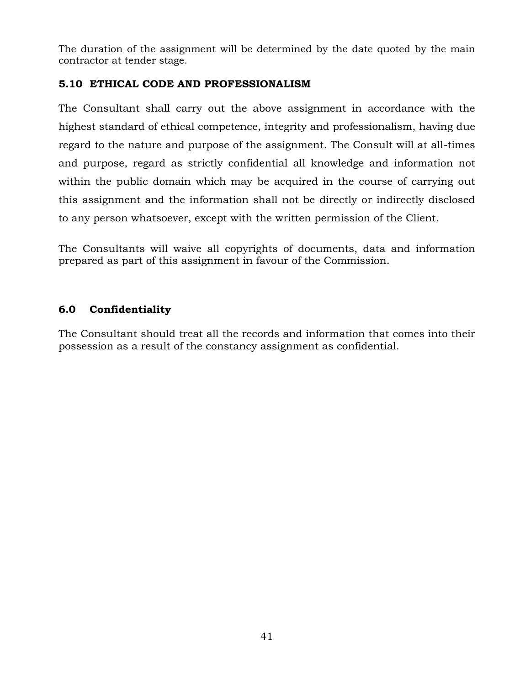The duration of the assignment will be determined by the date quoted by the main contractor at tender stage.

#### **5.10 ETHICAL CODE AND PROFESSIONALISM**

The Consultant shall carry out the above assignment in accordance with the highest standard of ethical competence, integrity and professionalism, having due regard to the nature and purpose of the assignment. The Consult will at all-times and purpose, regard as strictly confidential all knowledge and information not within the public domain which may be acquired in the course of carrying out this assignment and the information shall not be directly or indirectly disclosed to any person whatsoever, except with the written permission of the Client.

The Consultants will waive all copyrights of documents, data and information prepared as part of this assignment in favour of the Commission.

### **6.0 Confidentiality**

The Consultant should treat all the records and information that comes into their possession as a result of the constancy assignment as confidential.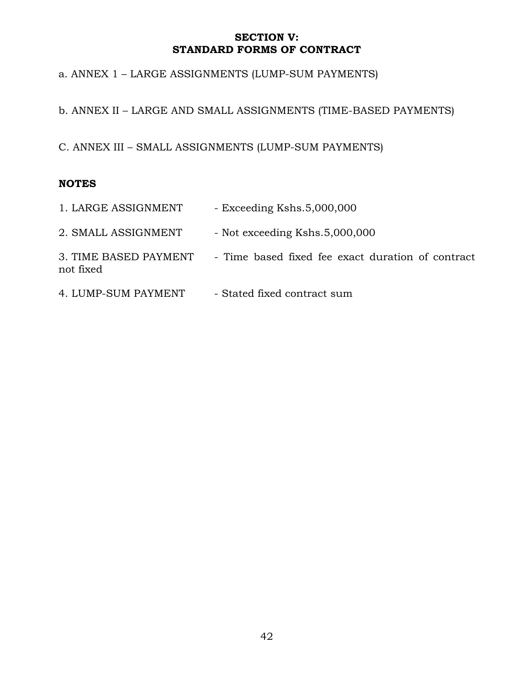#### **SECTION V: STANDARD FORMS OF CONTRACT**

a. ANNEX 1 – LARGE ASSIGNMENTS (LUMP-SUM PAYMENTS)

b. ANNEX II – LARGE AND SMALL ASSIGNMENTS (TIME-BASED PAYMENTS)

C. ANNEX III – SMALL ASSIGNMENTS (LUMP-SUM PAYMENTS)

#### **NOTES**

| 1. LARGE ASSIGNMENT                | - Exceeding Kshs.5,000,000                        |
|------------------------------------|---------------------------------------------------|
| 2. SMALL ASSIGNMENT                | - Not exceeding Kshs.5,000,000                    |
| 3. TIME BASED PAYMENT<br>not fixed | - Time based fixed fee exact duration of contract |
| 4. LUMP-SUM PAYMENT                | - Stated fixed contract sum                       |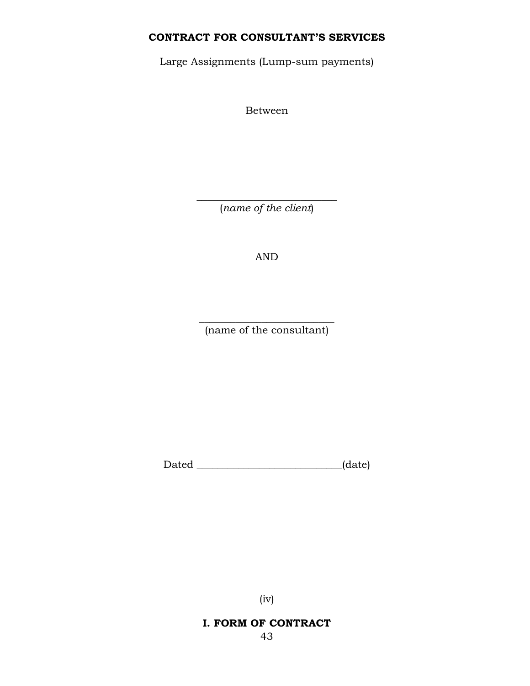### **CONTRACT FOR CONSULTANT'S SERVICES**

Large Assignments (Lump-sum payments)

Between

 $\overline{\phantom{a}}$  , where  $\overline{\phantom{a}}$  , where  $\overline{\phantom{a}}$  , where  $\overline{\phantom{a}}$  ,  $\overline{\phantom{a}}$  ,  $\overline{\phantom{a}}$  ,  $\overline{\phantom{a}}$  ,  $\overline{\phantom{a}}$  ,  $\overline{\phantom{a}}$  ,  $\overline{\phantom{a}}$  ,  $\overline{\phantom{a}}$  ,  $\overline{\phantom{a}}$  ,  $\overline{\phantom{a}}$  ,  $\overline{\phantom{a}}$  ,  $\overline{\phantom$ (*name of the client*)

AND

 $\overline{\phantom{a}}$  , where  $\overline{\phantom{a}}$  , where  $\overline{\phantom{a}}$  , where  $\overline{\phantom{a}}$ (name of the consultant)

Dated \_\_\_\_\_\_\_\_\_\_\_\_\_\_\_\_\_\_\_\_\_\_\_\_\_\_\_\_\_\_\_\_(date)

(iv)

**I. FORM OF CONTRACT**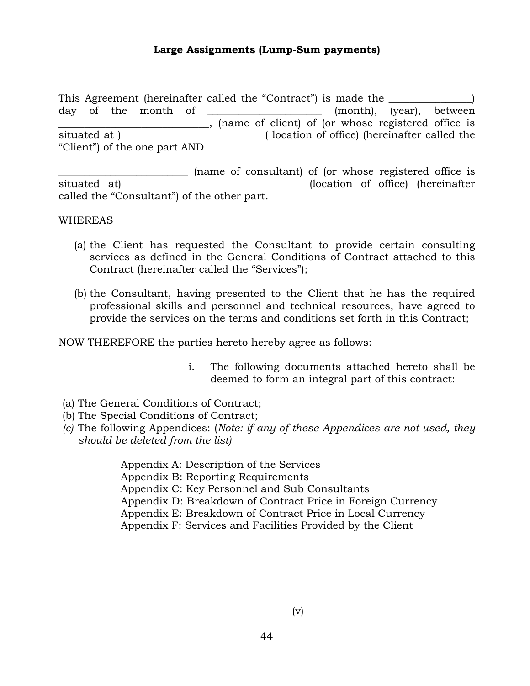#### **Large Assignments (Lump-Sum payments)**

This Agreement (hereinafter called the "Contract") is made the \_\_\_\_\_\_\_\_\_\_\_\_\_\_\_\_) day of the month of \_\_\_\_\_\_\_\_\_\_\_\_\_\_\_\_\_\_\_\_\_ (month), (year), between \_\_\_\_\_\_\_\_\_\_\_\_\_\_\_\_\_\_\_\_\_\_\_\_\_\_\_\_\_, (name of client) of (or whose registered office is situated at ) \_\_\_\_\_\_\_\_\_\_\_\_\_\_\_\_\_\_\_\_\_\_\_\_\_( location of office) (hereinafter called the "Client") of the one part AND

\_\_\_\_\_\_\_\_\_\_\_\_\_\_\_\_\_\_\_\_\_\_\_\_\_ (name of consultant) of (or whose registered office is situated at) \_\_\_\_\_\_\_\_\_\_\_\_\_\_\_\_\_\_\_\_\_\_\_\_\_\_\_\_\_\_\_\_\_(location of office) (hereinafter called the "Consultant") of the other part.

#### WHEREAS

- (a) the Client has requested the Consultant to provide certain consulting services as defined in the General Conditions of Contract attached to this Contract (hereinafter called the "Services");
- (b) the Consultant, having presented to the Client that he has the required professional skills and personnel and technical resources, have agreed to provide the services on the terms and conditions set forth in this Contract;

NOW THEREFORE the parties hereto hereby agree as follows:

- i. The following documents attached hereto shall be deemed to form an integral part of this contract:
- (a) The General Conditions of Contract;
- (b) The Special Conditions of Contract;
- *(c)* The following Appendices: (*Note: if any of these Appendices are not used, they should be deleted from the list)*

Appendix A: Description of the Services Appendix B: Reporting Requirements Appendix C: Key Personnel and Sub Consultants Appendix D: Breakdown of Contract Price in Foreign Currency Appendix E: Breakdown of Contract Price in Local Currency Appendix F: Services and Facilities Provided by the Client

(v)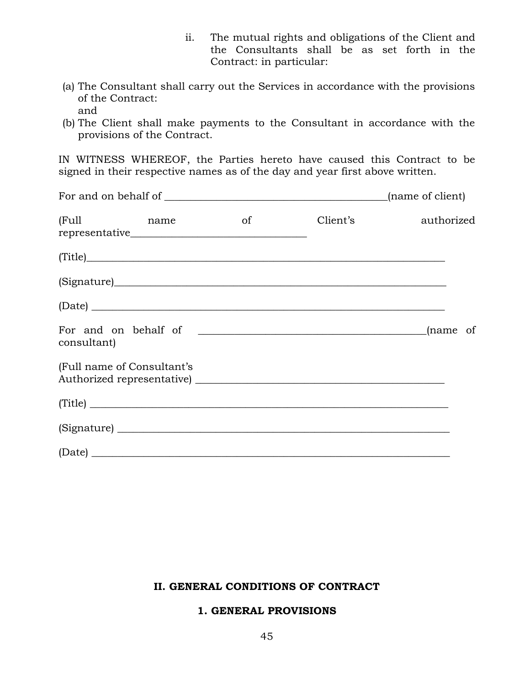- ii. The mutual rights and obligations of the Client and the Consultants shall be as set forth in the Contract: in particular:
- (a) The Consultant shall carry out the Services in accordance with the provisions of the Contract: and
- (b) The Client shall make payments to the Consultant in accordance with the provisions of the Contract.

IN WITNESS WHEREOF, the Parties hereto have caused this Contract to be signed in their respective names as of the day and year first above written.

|                                         |    |          | (name of client) |
|-----------------------------------------|----|----------|------------------|
| (Full<br><b>Example 12</b> and the name | of | Client's | authorized       |
| (Title)                                 |    |          |                  |
|                                         |    |          |                  |
| $(\text{Date})$                         |    |          |                  |
| consultant)                             |    |          |                  |
| (Full name of Consultant's              |    |          |                  |
| (Title)                                 |    |          |                  |
|                                         |    |          |                  |
| $\left( \text{Date} \right)$            |    |          |                  |

#### **II. GENERAL CONDITIONS OF CONTRACT**

#### **1. GENERAL PROVISIONS**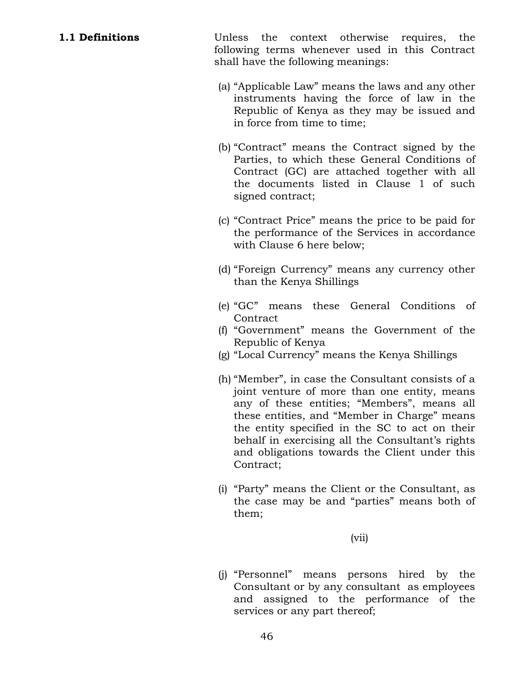**1.1 Definitions** Unless the context otherwise requires, the following terms whenever used in this Contract shall have the following meanings:

- (a) "Applicable Law" means the laws and any other instruments having the force of law in the Republic of Kenya as they may be issued and in force from time to time;
- (b) "Contract" means the Contract signed by the Parties, to which these General Conditions of Contract (GC) are attached together with all the documents listed in Clause 1 of such signed contract;
- (c) "Contract Price" means the price to be paid for the performance of the Services in accordance with Clause 6 here below;
- (d) "Foreign Currency" means any currency other than the Kenya Shillings
- (e) "GC" means these General Conditions of **Contract**
- (f) "Government" means the Government of the Republic of Kenya
- (g) "Local Currency" means the Kenya Shillings
- (h) "Member", in case the Consultant consists of a joint venture of more than one entity, means any of these entities; "Members", means all these entities, and "Member in Charge" means the entity specified in the SC to act on their behalf in exercising all the Consultant's rights and obligations towards the Client under this Contract;
- (i) "Party" means the Client or the Consultant, as the case may be and "parties" means both of them;

(vii)

(j) "Personnel" means persons hired by the Consultant or by any consultant as employees and assigned to the performance of the services or any part thereof;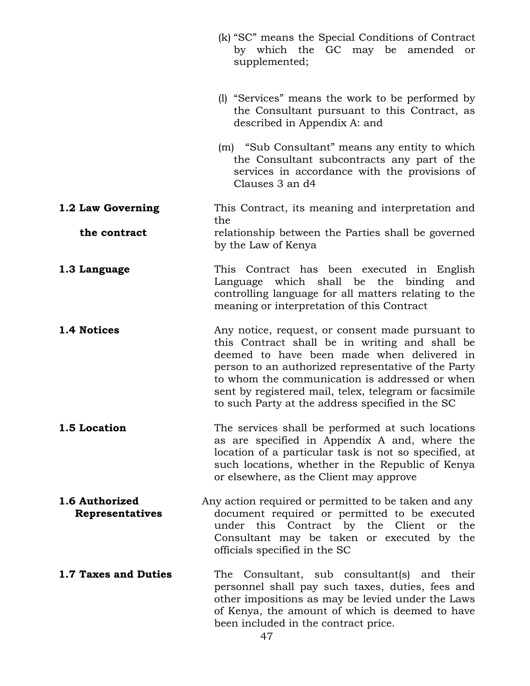|                                   | (k) "SC" means the Special Conditions of Contract<br>by which the GC may be amended<br>or<br>supplemented;                                                                                                                                                                                                                                                             |
|-----------------------------------|------------------------------------------------------------------------------------------------------------------------------------------------------------------------------------------------------------------------------------------------------------------------------------------------------------------------------------------------------------------------|
|                                   | (1) "Services" means the work to be performed by<br>the Consultant pursuant to this Contract, as<br>described in Appendix A: and                                                                                                                                                                                                                                       |
|                                   | (m) "Sub Consultant" means any entity to which<br>the Consultant subcontracts any part of the<br>services in accordance with the provisions of<br>Clauses 3 an d4                                                                                                                                                                                                      |
| 1.2 Law Governing                 | This Contract, its meaning and interpretation and                                                                                                                                                                                                                                                                                                                      |
| the contract                      | the<br>relationship between the Parties shall be governed<br>by the Law of Kenya                                                                                                                                                                                                                                                                                       |
| 1.3 Language                      | This Contract has been executed in English<br>which shall be the binding and<br>Language<br>controlling language for all matters relating to the<br>meaning or interpretation of this Contract                                                                                                                                                                         |
| 1.4 Notices                       | Any notice, request, or consent made pursuant to<br>this Contract shall be in writing and shall be<br>deemed to have been made when delivered in<br>person to an authorized representative of the Party<br>to whom the communication is addressed or when<br>sent by registered mail, telex, telegram or facsimile<br>to such Party at the address specified in the SC |
| 1.5 Location                      | The services shall be performed at such locations<br>as are specified in Appendix A and, where the<br>location of a particular task is not so specified, at<br>such locations, whether in the Republic of Kenya<br>or elsewhere, as the Client may approve                                                                                                             |
| 1.6 Authorized<br>Representatives | Any action required or permitted to be taken and any<br>document required or permitted to be executed<br>under this Contract by the Client<br>the<br>or<br>Consultant may be taken or executed by the<br>officials specified in the SC                                                                                                                                 |
| 1.7 Taxes and Duties              | The Consultant, sub consultant(s) and their<br>personnel shall pay such taxes, duties, fees and<br>other impositions as may be levied under the Laws<br>of Kenya, the amount of which is deemed to have<br>been included in the contract price.                                                                                                                        |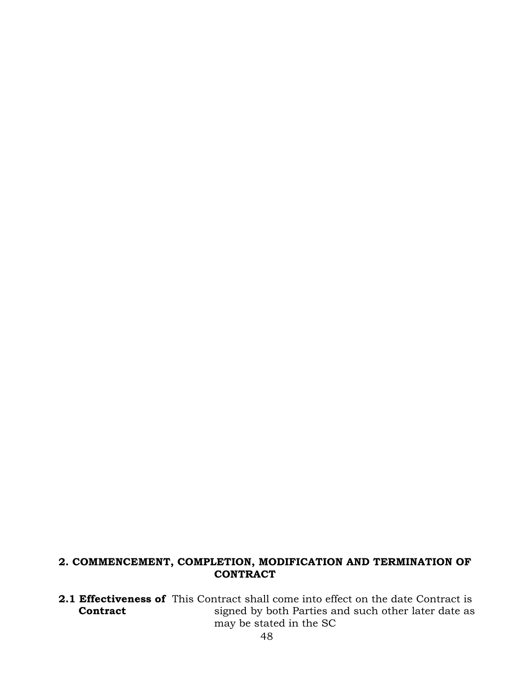#### **2. COMMENCEMENT, COMPLETION, MODIFICATION AND TERMINATION OF CONTRACT**

**2.1 Effectiveness of** This Contract shall come into effect on the date Contract is **Contract Solution** is signed by both Parties and such other later date as may be stated in the SC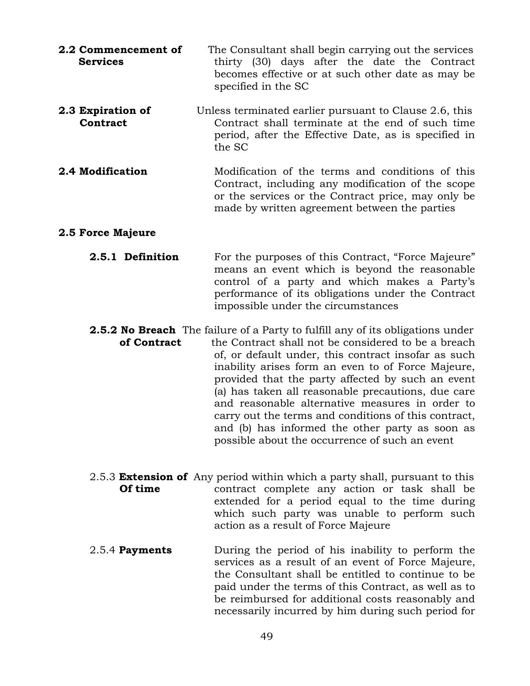- **2.2 Commencement of** The Consultant shall begin carrying out the services **Services** thirty (30) days after the date the Contract becomes effective or at such other date as may be specified in the SC
- **2.3 Expiration of** Unless terminated earlier pursuant to Clause 2.6, this **Contract Contract** shall terminate at the end of such time period, after the Effective Date, as is specified in the SC
- **2.4 Modification** Modification of the terms and conditions of this Contract, including any modification of the scope or the services or the Contract price, may only be made by written agreement between the parties

#### **2.5 Force Majeure**

- **2.5.1 Definition** For the purposes of this Contract, "Force Majeure" means an event which is beyond the reasonable control of a party and which makes a Party's performance of its obligations under the Contract impossible under the circumstances
- **2.5.2 No Breach** The failure of a Party to fulfill any of its obligations under **of Contract** the Contract shall not be considered to be a breach of, or default under, this contract insofar as such inability arises form an even to of Force Majeure, provided that the party affected by such an event (a) has taken all reasonable precautions, due care and reasonable alternative measures in order to carry out the terms and conditions of this contract, and (b) has informed the other party as soon as possible about the occurrence of such an event
- 2.5.3 **Extension of** Any period within which a party shall, pursuant to this **Of time** contract complete any action or task shall be extended for a period equal to the time during which such party was unable to perform such action as a result of Force Majeure
- 2.5.4 **Payments** During the period of his inability to perform the services as a result of an event of Force Majeure, the Consultant shall be entitled to continue to be paid under the terms of this Contract, as well as to be reimbursed for additional costs reasonably and necessarily incurred by him during such period for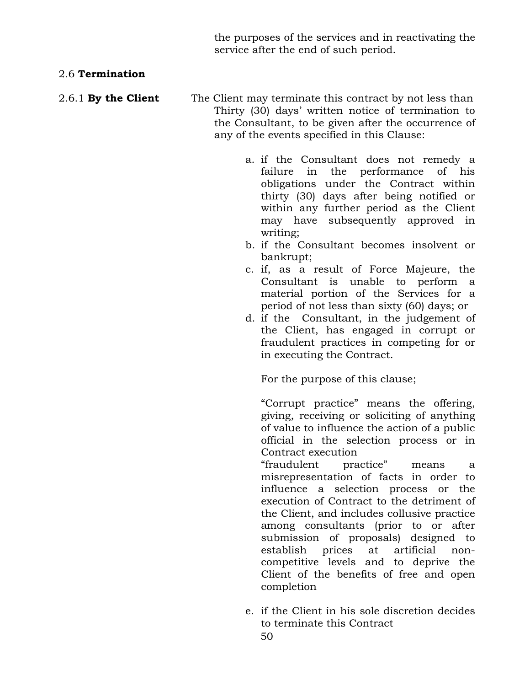the purposes of the services and in reactivating the service after the end of such period.

#### 2.6 **Termination**

- 2.6.1 **By the Client** The Client may terminate this contract by not less than Thirty (30) days' written notice of termination to the Consultant, to be given after the occurrence of any of the events specified in this Clause:
	- a. if the Consultant does not remedy a failure in the performance of his obligations under the Contract within thirty (30) days after being notified or within any further period as the Client may have subsequently approved in writing;
	- b. if the Consultant becomes insolvent or bankrupt;
	- c. if, as a result of Force Majeure, the Consultant is unable to perform a material portion of the Services for a period of not less than sixty (60) days; or
	- d. if the Consultant, in the judgement of the Client, has engaged in corrupt or fraudulent practices in competing for or in executing the Contract.

For the purpose of this clause;

"Corrupt practice" means the offering, giving, receiving or soliciting of anything of value to influence the action of a public official in the selection process or in Contract execution

"fraudulent practice" means a misrepresentation of facts in order to influence a selection process or the execution of Contract to the detriment of the Client, and includes collusive practice among consultants (prior to or after submission of proposals) designed to establish prices at artificial noncompetitive levels and to deprive the Client of the benefits of free and open completion

e. if the Client in his sole discretion decides to terminate this Contract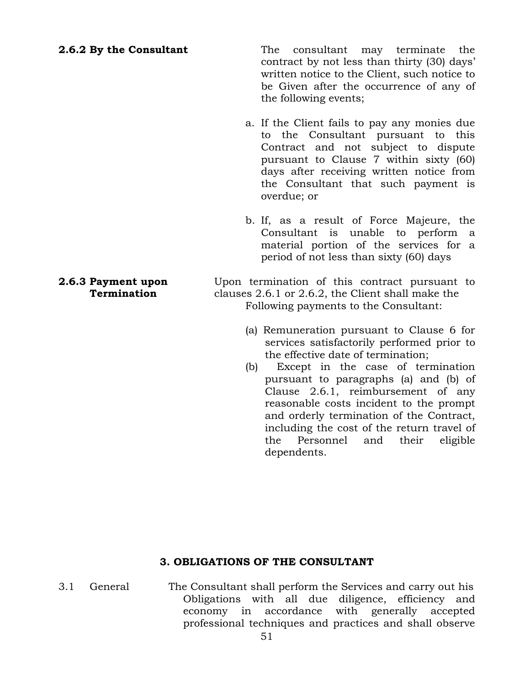**2.6.2 By the Consultant** The consultant may terminate the contract by not less than thirty (30) days' written notice to the Client, such notice to be Given after the occurrence of any of the following events;

- a. If the Client fails to pay any monies due to the Consultant pursuant to this Contract and not subject to dispute pursuant to Clause 7 within sixty (60) days after receiving written notice from the Consultant that such payment is overdue; or
- b. If, as a result of Force Majeure, the Consultant is unable to perform a material portion of the services for a period of not less than sixty (60) days

**2.6.3 Payment upon** Upon termination of this contract pursuant to **Termination clauses** 2.6.1 or 2.6.2, the Client shall make the Following payments to the Consultant:

- (a) Remuneration pursuant to Clause 6 for services satisfactorily performed prior to the effective date of termination;
- (b) Except in the case of termination pursuant to paragraphs (a) and (b) of Clause 2.6.1, reimbursement of any reasonable costs incident to the prompt and orderly termination of the Contract, including the cost of the return travel of the Personnel and their eligible dependents.

#### **3. OBLIGATIONS OF THE CONSULTANT**

3.1 General The Consultant shall perform the Services and carry out his Obligations with all due diligence, efficiency and economy in accordance with generally accepted professional techniques and practices and shall observe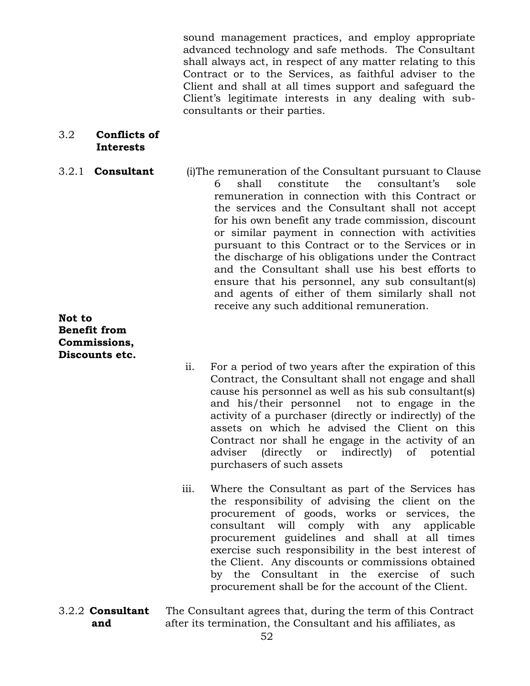sound management practices, and employ appropriate advanced technology and safe methods. The Consultant shall always act, in respect of any matter relating to this Contract or to the Services, as faithful adviser to the Client and shall at all times support and safeguard the Client's legitimate interests in any dealing with subconsultants or their parties.

#### 3.2 **Conflicts of Interests**

3.2.1 **Consultant** (i)The remuneration of the Consultant pursuant to Clause 6 shall constitute the consultant's sole remuneration in connection with this Contract or the services and the Consultant shall not accept for his own benefit any trade commission, discount or similar payment in connection with activities pursuant to this Contract or to the Services or in the discharge of his obligations under the Contract and the Consultant shall use his best efforts to ensure that his personnel, any sub consultant(s) and agents of either of them similarly shall not receive any such additional remuneration.

#### **Not to Benefit from Commissions, Discounts etc.**

- ii. For a period of two years after the expiration of this Contract, the Consultant shall not engage and shall cause his personnel as well as his sub consultant(s) and his/their personnel not to engage in the activity of a purchaser (directly or indirectly) of the assets on which he advised the Client on this Contract nor shall he engage in the activity of an adviser (directly or indirectly) of potential purchasers of such assets
- iii. Where the Consultant as part of the Services has the responsibility of advising the client on the procurement of goods, works or services, the consultant will comply with any applicable procurement guidelines and shall at all times exercise such responsibility in the best interest of the Client. Any discounts or commissions obtained by the Consultant in the exercise of such procurement shall be for the account of the Client.
- 3.2.2 **Consultant** The Consultant agrees that, during the term of this Contract **and** after its termination, the Consultant and his affiliates, as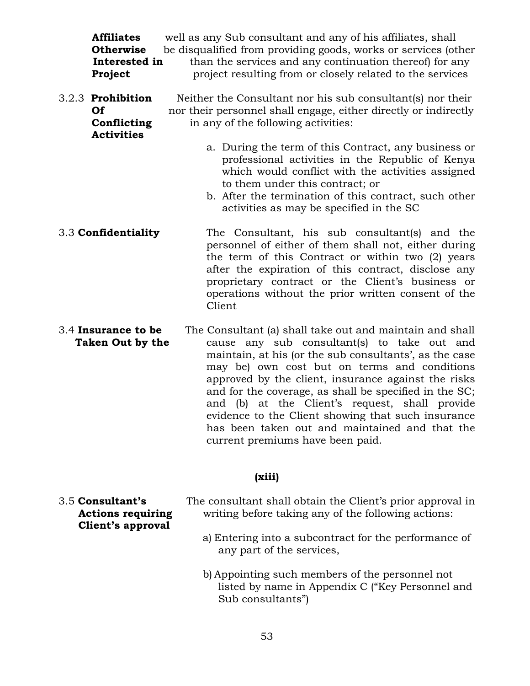| <b>Affiliates</b><br><b>Otherwise</b><br>Interested in<br>Project  | well as any Sub consultant and any of his affiliates, shall<br>be disqualified from providing goods, works or services (other<br>than the services and any continuation thereof) for any<br>project resulting from or closely related to the services                                                                                  |
|--------------------------------------------------------------------|----------------------------------------------------------------------------------------------------------------------------------------------------------------------------------------------------------------------------------------------------------------------------------------------------------------------------------------|
| 3.2.3 Prohibition<br><b>Of</b><br>Conflicting<br><b>Activities</b> | Neither the Consultant nor his sub consultant(s) nor their<br>nor their personnel shall engage, either directly or indirectly<br>in any of the following activities:                                                                                                                                                                   |
|                                                                    | a. During the term of this Contract, any business or<br>professional activities in the Republic of Kenya<br>which would conflict with the activities assigned<br>to them under this contract; or<br>b. After the termination of this contract, such other<br>activities as may be specified in the SC                                  |
| 3.3 Confidentiality                                                | The Consultant, his sub consultant(s) and the<br>personnel of either of them shall not, either during<br>the term of this Contract or within two (2) years<br>after the expiration of this contract, disclose any<br>proprietary contract or the Client's business or<br>operations without the prior written consent of the<br>Client |
| 3.4 Insurance to be<br><b>Taken Out by the</b>                     | The Consultant (a) shall take out and maintain and shall<br>cause any sub consultant(s) to take out and<br>maintain, at his (or the sub consultants', as the case<br>may be) own cost but on terms and conditions<br>approved by the client, insurance against the risks<br>and for the coverage, as shall be specified in the SC;     |

and (b) at the Client's request, shall provide evidence to the Client showing that such insurance has been taken out and maintained and that the current premiums have been paid.

#### **(xiii)**

| 3.5 Consultant's         | The consultant shall obtain the Client's prior approval in |
|--------------------------|------------------------------------------------------------|
| <b>Actions requiring</b> | writing before taking any of the following actions:        |
| Client's approval        |                                                            |
|                          | a) Entering into a subcontract for the performance of      |
|                          | any part of the services,                                  |

b) Appointing such members of the personnel not listed by name in Appendix C ("Key Personnel and Sub consultants")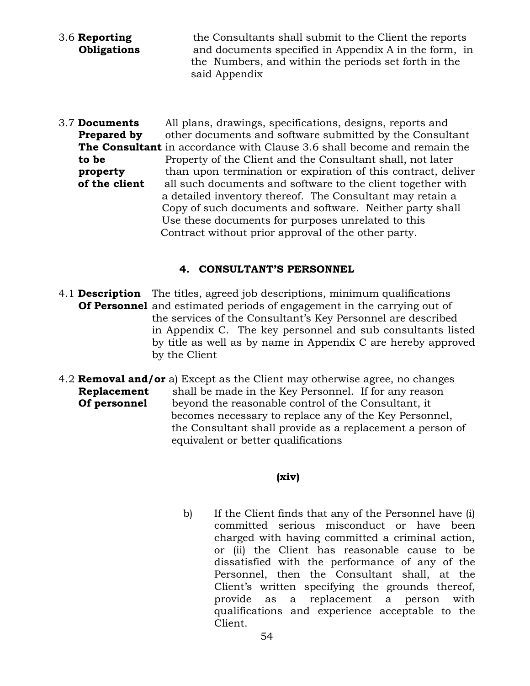- 3.6 **Reporting** the Consultants shall submit to the Client the reports **Obligations** and documents specified in Appendix A in the form, in the Numbers, and within the periods set forth in the said Appendix
- 3.7 **Documents** All plans, drawings, specifications, designs, reports and **Prepared by** other documents and software submitted by the Consultant **The Consultant** in accordance with Clause 3.6 shall become and remain the **to be** Property of the Client and the Consultant shall, not later **property** than upon termination or expiration of this contract, deliver **of the client** all such documents and software to the client together with a detailed inventory thereof. The Consultant may retain a Copy of such documents and software. Neither party shall Use these documents for purposes unrelated to this Contract without prior approval of the other party.

#### **4. CONSULTANT'S PERSONNEL**

- 4.1 **Description** The titles, agreed job descriptions, minimum qualifications **Of Personnel** and estimated periods of engagement in the carrying out of the services of the Consultant's Key Personnel are described in Appendix C. The key personnel and sub consultants listed by title as well as by name in Appendix C are hereby approved by the Client
- 4.2 **Removal and/or** a) Except as the Client may otherwise agree, no changes **Replacement** shall be made in the Key Personnel. If for any reason **Of personnel** beyond the reasonable control of the Consultant, it becomes necessary to replace any of the Key Personnel, the Consultant shall provide as a replacement a person of equivalent or better qualifications

#### **(xiv)**

b) If the Client finds that any of the Personnel have (i) committed serious misconduct or have been charged with having committed a criminal action, or (ii) the Client has reasonable cause to be dissatisfied with the performance of any of the Personnel, then the Consultant shall, at the Client's written specifying the grounds thereof, provide as a replacement a person with qualifications and experience acceptable to the Client.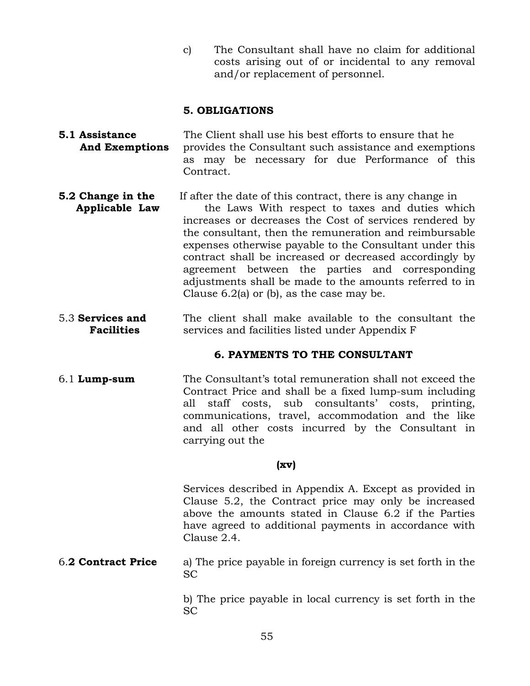c) The Consultant shall have no claim for additional costs arising out of or incidental to any removal and/or replacement of personnel.

#### **5. OBLIGATIONS**

- **5.1 Assistance** The Client shall use his best efforts to ensure that he **And Exemptions** provides the Consultant such assistance and exemptions as may be necessary for due Performance of this Contract.
- **5.2 Change in the** If after the date of this contract, there is any change in **Applicable Law** the Laws With respect to taxes and duties which increases or decreases the Cost of services rendered by the consultant, then the remuneration and reimbursable expenses otherwise payable to the Consultant under this contract shall be increased or decreased accordingly by agreement between the parties and corresponding adjustments shall be made to the amounts referred to in Clause 6.2(a) or (b), as the case may be.
- 5.3 **Services and** The client shall make available to the consultant the **Facilities** services and facilities listed under Appendix F

#### **6. PAYMENTS TO THE CONSULTANT**

6.1 **Lump-sum** The Consultant's total remuneration shall not exceed the Contract Price and shall be a fixed lump-sum including all staff costs, sub consultants' costs, printing, communications, travel, accommodation and the like and all other costs incurred by the Consultant in carrying out the

#### **(xv)**

Services described in Appendix A. Except as provided in Clause 5.2, the Contract price may only be increased above the amounts stated in Clause 6.2 if the Parties have agreed to additional payments in accordance with Clause 2.4.

6.**2 Contract Price** a) The price payable in foreign currency is set forth in the SC

> b) The price payable in local currency is set forth in the SC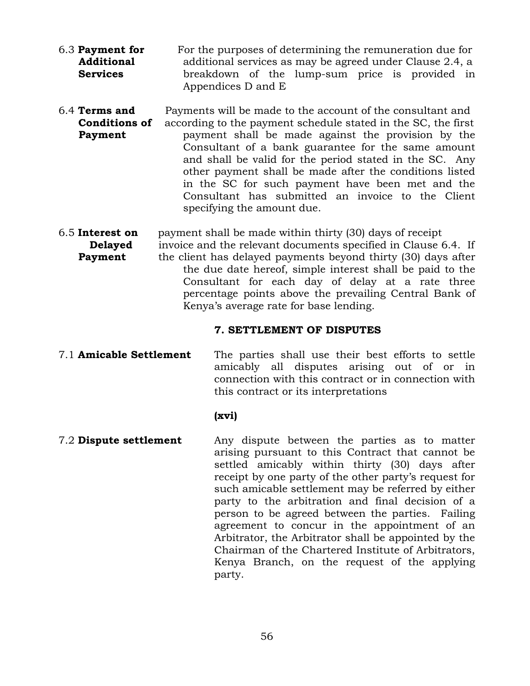- 6.3 **Payment for** For the purposes of determining the remuneration due for **Additional** additional services as may be agreed under Clause 2.4, a **Services** breakdown of the lump-sum price is provided in Appendices D and E
- 6.4 **Terms and** Payments will be made to the account of the consultant and **Conditions of** according to the payment schedule stated in the SC, the first **Payment payment** shall be made against the provision by the Consultant of a bank guarantee for the same amount and shall be valid for the period stated in the SC. Any other payment shall be made after the conditions listed in the SC for such payment have been met and the Consultant has submitted an invoice to the Client specifying the amount due.

6.5 **Interest on** payment shall be made within thirty (30) days of receipt

**Delayed** invoice and the relevant documents specified in Clause 6.4. If **Payment** the client has delayed payments beyond thirty (30) days after the due date hereof, simple interest shall be paid to the Consultant for each day of delay at a rate three percentage points above the prevailing Central Bank of Kenya's average rate for base lending.

#### **7. SETTLEMENT OF DISPUTES**

7.1 **Amicable Settlement** The parties shall use their best efforts to settle amicably all disputes arising out of or in connection with this contract or in connection with this contract or its interpretations

#### **(xvi)**

7.2 **Dispute settlement** Any dispute between the parties as to matter arising pursuant to this Contract that cannot be settled amicably within thirty (30) days after receipt by one party of the other party's request for such amicable settlement may be referred by either party to the arbitration and final decision of a person to be agreed between the parties. Failing agreement to concur in the appointment of an Arbitrator, the Arbitrator shall be appointed by the Chairman of the Chartered Institute of Arbitrators, Kenya Branch, on the request of the applying party.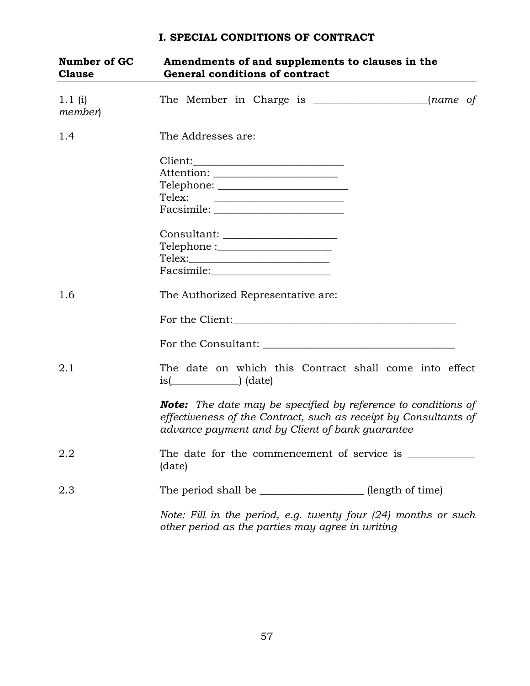# **Number of GC Amendments of and supplements to clauses in the Clause General conditions of contract**  1.1 (i) The Member in Charge is \_\_\_\_\_\_\_\_\_\_\_\_\_\_\_\_\_\_\_\_\_\_(*name of member*) 1.4 The Addresses are: Client:\_\_\_\_\_\_\_\_\_\_\_\_\_\_\_\_\_\_\_\_\_\_\_\_\_\_\_\_\_ Attention: \_\_\_\_\_\_\_\_\_\_\_\_\_\_\_\_\_\_\_\_\_\_\_\_ Telephone: \_\_\_\_\_\_\_\_\_\_\_\_\_\_\_\_\_\_\_\_\_\_\_\_\_ Telex: Facsimile: Consultant: \_\_\_\_\_\_\_\_\_\_\_\_\_\_\_\_\_\_\_\_\_\_ Telephone :\_\_\_\_\_\_\_\_\_\_\_\_\_\_\_\_\_\_\_\_\_\_ Telex:\_\_\_\_\_\_\_\_\_\_\_\_\_\_\_\_\_\_\_\_\_\_\_\_\_\_\_ Facsimile: 1.6 The Authorized Representative are: For the Client: For the Consultant: \_\_\_\_\_\_\_\_\_\_\_\_\_\_\_\_\_\_\_\_\_\_\_\_\_\_\_\_\_\_\_\_\_\_\_\_\_ 2.1 The date on which this Contract shall come into effect is(\_\_\_\_\_\_\_\_\_\_\_\_\_) (date) *Note: The date may be specified by reference to conditions of effectiveness of the Contract, such as receipt by Consultants of advance payment and by Client of bank guarantee*  2.2 The date for the commencement of service is (date) 2.3 The period shall be \_\_\_\_\_\_\_\_\_\_\_\_\_\_\_\_\_\_\_\_\_\_(length of time) *Note: Fill in the period, e.g. twenty four (24) months or such other period as the parties may agree in writing*

#### **I. SPECIAL CONDITIONS OF CONTRACT**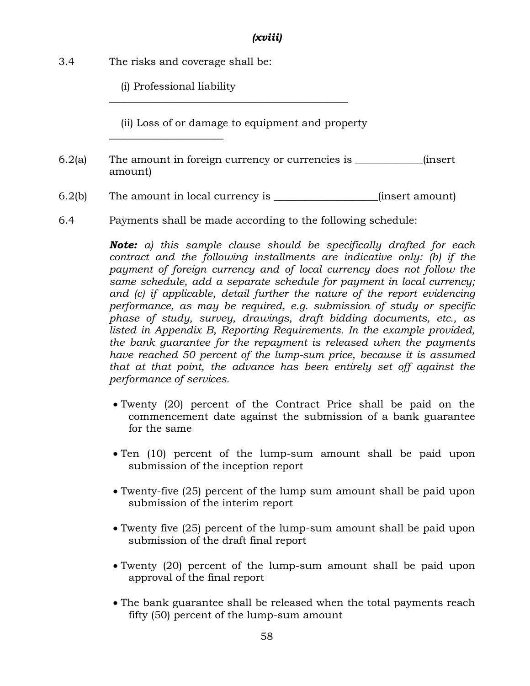#### *(xviii)*

3.4 The risks and coverage shall be:

\_\_\_\_\_\_\_\_\_\_\_\_\_\_\_\_\_\_\_\_\_\_

(i) Professional liability

(ii) Loss of or damage to equipment and property

\_\_\_\_\_\_\_\_\_\_\_\_\_\_\_\_\_\_\_\_\_\_\_\_\_\_\_\_\_\_\_\_\_\_\_\_\_\_\_\_\_\_\_\_\_\_

6.2(a) The amount in foreign currency or currencies is \_\_\_\_\_\_\_\_\_\_\_\_\_(insert amount)

6.2(b) The amount in local currency is \_\_\_\_\_\_\_\_\_\_\_\_\_\_\_\_\_\_\_\_(insert amount)

6.4 Payments shall be made according to the following schedule:

*Note: a) this sample clause should be specifically drafted for each contract and the following installments are indicative only: (b) if the payment of foreign currency and of local currency does not follow the same schedule, add a separate schedule for payment in local currency; and (c) if applicable, detail further the nature of the report evidencing performance, as may be required, e.g. submission of study or specific phase of study, survey, drawings, draft bidding documents, etc., as listed in Appendix B, Reporting Requirements. In the example provided, the bank guarantee for the repayment is released when the payments have reached 50 percent of the lump-sum price, because it is assumed that at that point, the advance has been entirely set off against the performance of services.* 

- Twenty (20) percent of the Contract Price shall be paid on the commencement date against the submission of a bank guarantee for the same
- Ten (10) percent of the lump-sum amount shall be paid upon submission of the inception report
- Twenty-five (25) percent of the lump sum amount shall be paid upon submission of the interim report
- Twenty five (25) percent of the lump-sum amount shall be paid upon submission of the draft final report
- Twenty (20) percent of the lump-sum amount shall be paid upon approval of the final report
- The bank guarantee shall be released when the total payments reach fifty (50) percent of the lump-sum amount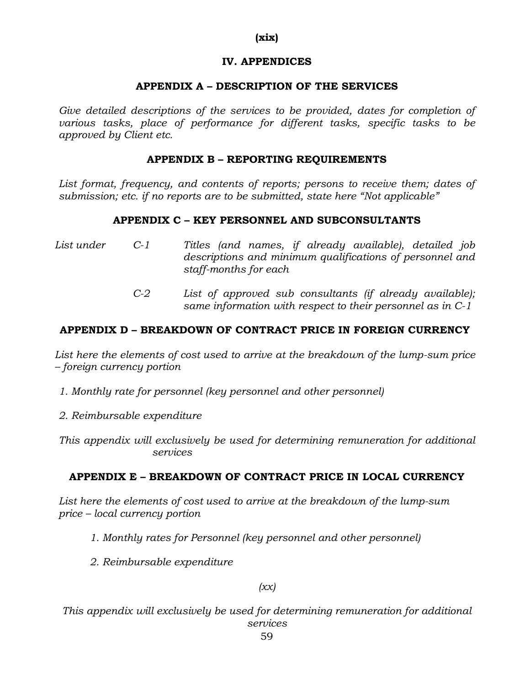#### **(xix)**

#### **IV. APPENDICES**

#### **APPENDIX A – DESCRIPTION OF THE SERVICES**

Give detailed descriptions of the services to be provided, dates for completion of *various tasks, place of performance for different tasks, specific tasks to be approved by Client etc.* 

#### **APPENDIX B – REPORTING REQUIREMENTS**

List format, frequency, and contents of reports; persons to receive them; dates of *submission; etc. if no reports are to be submitted, state here "Not applicable"*

#### **APPENDIX C – KEY PERSONNEL AND SUBCONSULTANTS**

- *List under C-1 Titles (and names, if already available), detailed job descriptions and minimum qualifications of personnel and staff-months for each*
	- *C-2 List of approved sub consultants (if already available); same information with respect to their personnel as in C-1*

#### **APPENDIX D – BREAKDOWN OF CONTRACT PRICE IN FOREIGN CURRENCY**

*List here the elements of cost used to arrive at the breakdown of the lump-sum price – foreign currency portion* 

*1. Monthly rate for personnel (key personnel and other personnel)*

*2. Reimbursable expenditure* 

*This appendix will exclusively be used for determining remuneration for additional services* 

#### **APPENDIX E – BREAKDOWN OF CONTRACT PRICE IN LOCAL CURRENCY**

*List here the elements of cost used to arrive at the breakdown of the lump-sum price – local currency portion* 

- *1. Monthly rates for Personnel (key personnel and other personnel)*
- *2. Reimbursable expenditure*

*(xx)*

*This appendix will exclusively be used for determining remuneration for additional services*